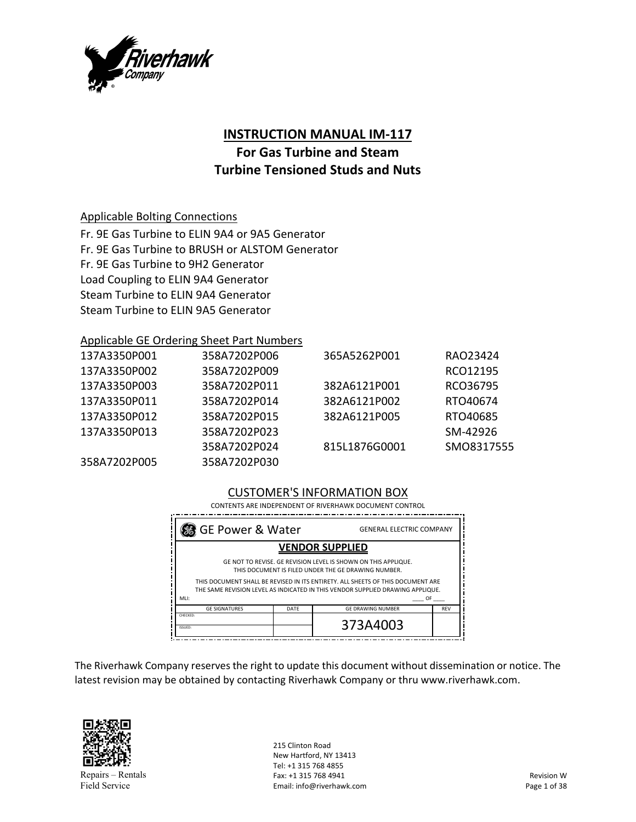

# **INSTRUCTION MANUAL IM‐117**

# **For Gas Turbine and Steam Turbine Tensioned Studs and Nuts**

### Applicable Bolting Connections

Fr. 9E Gas Turbine to ELIN 9A4 or 9A5 Generator Fr. 9E Gas Turbine to BRUSH or ALSTOM Generator Fr. 9E Gas Turbine to 9H2 Generator Load Coupling to ELIN 9A4 Generator Steam Turbine to ELIN 9A4 Generator Steam Turbine to ELIN 9A5 Generator

### Applicable GE Ordering Sheet Part Numbers

| 137A3350P001 | 358A7202P006 | 365A5262P001  | RA023424   |
|--------------|--------------|---------------|------------|
| 137A3350P002 | 358A7202P009 |               | RCO12195   |
| 137A3350P003 | 358A7202P011 | 382A6121P001  | RCO36795   |
| 137A3350P011 | 358A7202P014 | 382A6121P002  | RTO40674   |
| 137A3350P012 | 358A7202P015 | 382A6121P005  | RTO40685   |
| 137A3350P013 | 358A7202P023 |               | SM-42926   |
|              | 358A7202P024 | 815L1876G0001 | SMO8317555 |
| 358A7202P005 | 358A7202P030 |               |            |

### CUSTOMER'S INFORMATION BOX

CONTENTS ARE INDEPENDENT OF RIVERHAWK DOCUMENT CONTROL

| 38 GE Power & Water                                                                                                                                                                                                                                                                                      | <b>GENERAL ELECTRIC COMPANY</b> |                          |            |
|----------------------------------------------------------------------------------------------------------------------------------------------------------------------------------------------------------------------------------------------------------------------------------------------------------|---------------------------------|--------------------------|------------|
| <b>VENDOR SUPPLIED</b>                                                                                                                                                                                                                                                                                   |                                 |                          |            |
| GE NOT TO REVISE. GE REVISION LEVEL IS SHOWN ON THIS APPLIQUE.<br>THIS DOCUMENT IS FILED UNDER THE GE DRAWING NUMBER.<br>THIS DOCUMENT SHALL BE REVISED IN ITS ENTIRETY. ALL SHEETS OF THIS DOCUMENT ARE<br>THE SAME REVISION LEVEL AS INDICATED IN THIS VENDOR SUPPLIED DRAWING APPLIQUE.<br>MII:<br>0F |                                 |                          |            |
| <b>GE SIGNATURES</b>                                                                                                                                                                                                                                                                                     | DATF                            | <b>GE DRAWING NUMBER</b> | <b>REV</b> |
| CHECKED:<br>ISSUED:                                                                                                                                                                                                                                                                                      |                                 | 373A4003                 |            |

The Riverhawk Company reserves the right to update this document without dissemination or notice. The latest revision may be obtained by contacting Riverhawk Company or thru www.riverhawk.com.



215 Clinton Road New Hartford, NY 13413 Tel: +1 315 768 4855 Fax: +1 315 768 4941 Email: info@riverhawk.com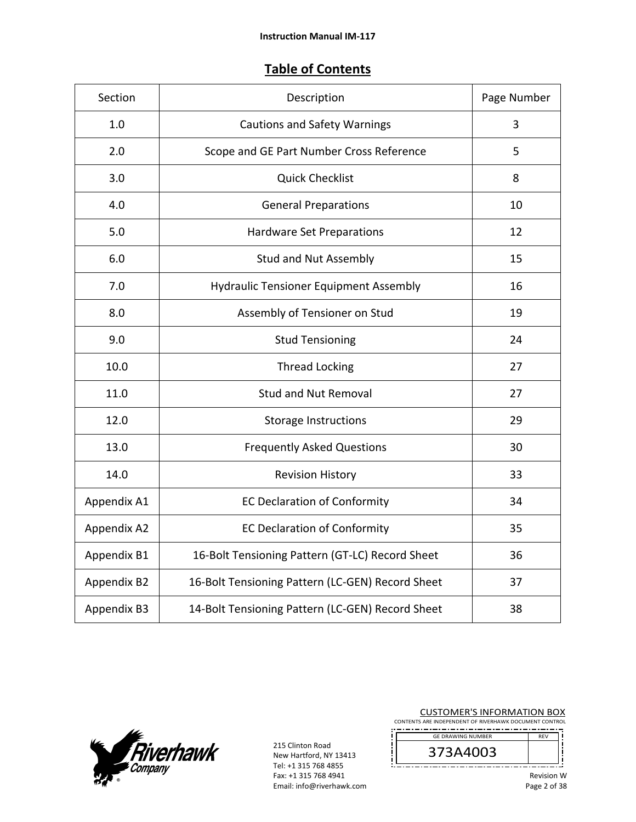# **Table of Contents**

| Section     | Description                                      | Page Number |
|-------------|--------------------------------------------------|-------------|
| 1.0         | <b>Cautions and Safety Warnings</b>              | 3           |
| 2.0         | Scope and GE Part Number Cross Reference         | 5           |
| 3.0         | <b>Quick Checklist</b>                           | 8           |
| 4.0         | <b>General Preparations</b>                      | 10          |
| 5.0         | Hardware Set Preparations                        | 12          |
| 6.0         | <b>Stud and Nut Assembly</b>                     | 15          |
| 7.0         | Hydraulic Tensioner Equipment Assembly           | 16          |
| 8.0         | Assembly of Tensioner on Stud                    | 19          |
| 9.0         | <b>Stud Tensioning</b>                           | 24          |
| 10.0        | <b>Thread Locking</b>                            | 27          |
| 11.0        | <b>Stud and Nut Removal</b>                      | 27          |
| 12.0        | <b>Storage Instructions</b>                      | 29          |
| 13.0        | <b>Frequently Asked Questions</b>                | 30          |
| 14.0        | <b>Revision History</b>                          | 33          |
| Appendix A1 | <b>EC Declaration of Conformity</b>              | 34          |
| Appendix A2 | <b>EC Declaration of Conformity</b>              | 35          |
| Appendix B1 | 16-Bolt Tensioning Pattern (GT-LC) Record Sheet  | 36          |
| Appendix B2 | 16-Bolt Tensioning Pattern (LC-GEN) Record Sheet | 37          |
| Appendix B3 | 14-Bolt Tensioning Pattern (LC-GEN) Record Sheet | 38          |



215 Clinton Road New Hartford, NY 13413 Tel: +1 315 768 4855 Fax: +1 315 768 4941 Email: info@riverhawk.com

i

į

CUSTOMER'S INFORMATION BOX

CONTENTS ARE INDEPENDENT OF RIVERHAWK DOCUMENT CONTROL GE DRAWING NUMBER

REV 373A4003 

j

ļ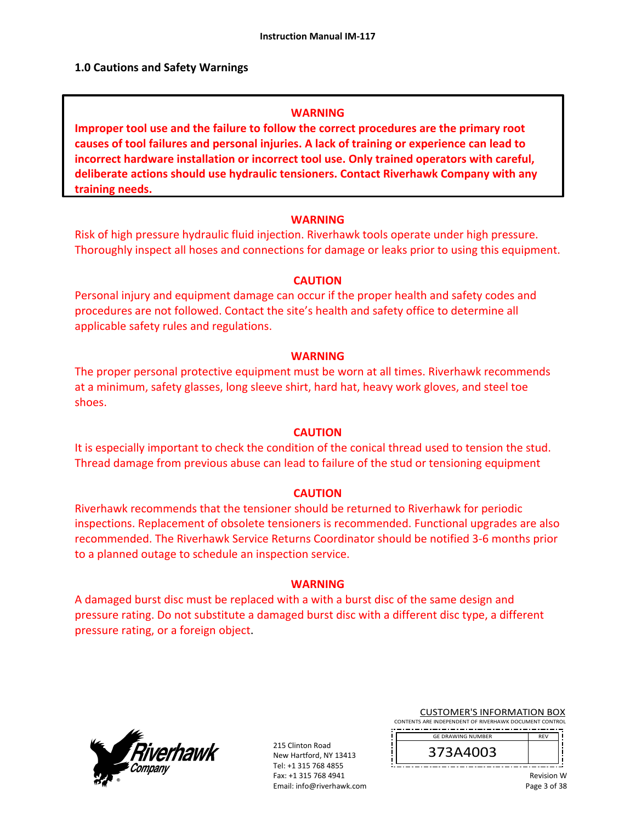#### **1.0 Cautions and Safety Warnings**

#### **WARNING**

**Improper tool use and the failure to follow the correct procedures are the primary root causes of tool failures and personal injuries. A lack of training or experience can lead to incorrect hardware installation or incorrect tool use. Only trained operators with careful, deliberate actions should use hydraulic tensioners. Contact Riverhawk Company with any training needs.** 

#### **WARNING**

Risk of high pressure hydraulic fluid injection. Riverhawk tools operate under high pressure. Thoroughly inspect all hoses and connections for damage or leaks prior to using this equipment.

#### **CAUTION**

Personal injury and equipment damage can occur if the proper health and safety codes and procedures are not followed. Contact the site's health and safety office to determine all applicable safety rules and regulations.

#### **WARNING**

The proper personal protective equipment must be worn at all times. Riverhawk recommends at a minimum, safety glasses, long sleeve shirt, hard hat, heavy work gloves, and steel toe shoes.

#### **CAUTION**

It is especially important to check the condition of the conical thread used to tension the stud. Thread damage from previous abuse can lead to failure of the stud or tensioning equipment

#### **CAUTION**

Riverhawk recommends that the tensioner should be returned to Riverhawk for periodic inspections. Replacement of obsolete tensioners is recommended. Functional upgrades are also recommended. The Riverhawk Service Returns Coordinator should be notified 3‐6 months prior to a planned outage to schedule an inspection service.

#### **WARNING**

A damaged burst disc must be replaced with a with a burst disc of the same design and pressure rating. Do not substitute a damaged burst disc with a different disc type, a different pressure rating, or a foreign object.



215 Clinton Road New Hartford, NY 13413 Tel: +1 315 768 4855 Fax: +1 315 768 4941 Email: info@riverhawk.com CUSTOMER'S INFORMATION BOX

CONTENTS ARE INDEPENDENT OF RIVERHAWK DOCUMENT CONTROL 



Revision W Page 3 of 38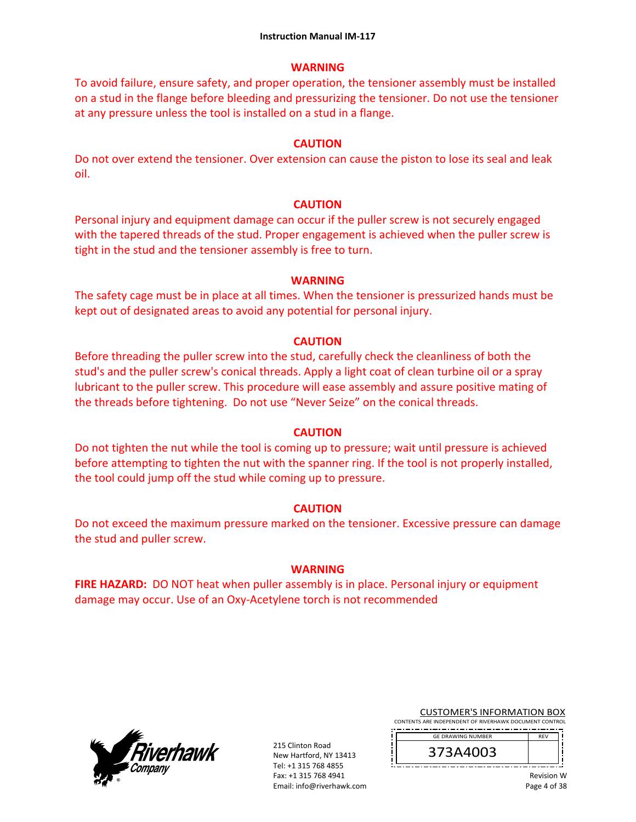#### **WARNING**

To avoid failure, ensure safety, and proper operation, the tensioner assembly must be installed on a stud in the flange before bleeding and pressurizing the tensioner. Do not use the tensioner at any pressure unless the tool is installed on a stud in a flange.

#### **CAUTION**

Do not over extend the tensioner. Over extension can cause the piston to lose its seal and leak oil.

#### **CAUTION**

Personal injury and equipment damage can occur if the puller screw is not securely engaged with the tapered threads of the stud. Proper engagement is achieved when the puller screw is tight in the stud and the tensioner assembly is free to turn.

#### **WARNING**

The safety cage must be in place at all times. When the tensioner is pressurized hands must be kept out of designated areas to avoid any potential for personal injury.

#### **CAUTION**

Before threading the puller screw into the stud, carefully check the cleanliness of both the stud's and the puller screw's conical threads. Apply a light coat of clean turbine oil or a spray lubricant to the puller screw. This procedure will ease assembly and assure positive mating of the threads before tightening. Do not use "Never Seize" on the conical threads.

#### **CAUTION**

Do not tighten the nut while the tool is coming up to pressure; wait until pressure is achieved before attempting to tighten the nut with the spanner ring. If the tool is not properly installed, the tool could jump off the stud while coming up to pressure.

### **CAUTION**

Do not exceed the maximum pressure marked on the tensioner. Excessive pressure can damage the stud and puller screw.

#### **WARNING**

**FIRE HAZARD:** DO NOT heat when puller assembly is in place. Personal injury or equipment damage may occur. Use of an Oxy‐Acetylene torch is not recommended



215 Clinton Road New Hartford, NY 13413 Tel: +1 315 768 4855 Fax: +1 315 768 4941 Email: info@riverhawk.com CUSTOMER'S INFORMATION BOX

CONTENTS ARE INDEPENDENT OF RIVERHAWK DOCUMENT CONTROL GE DRAWING NUMBER

373A4003

DE<sub>V</sub>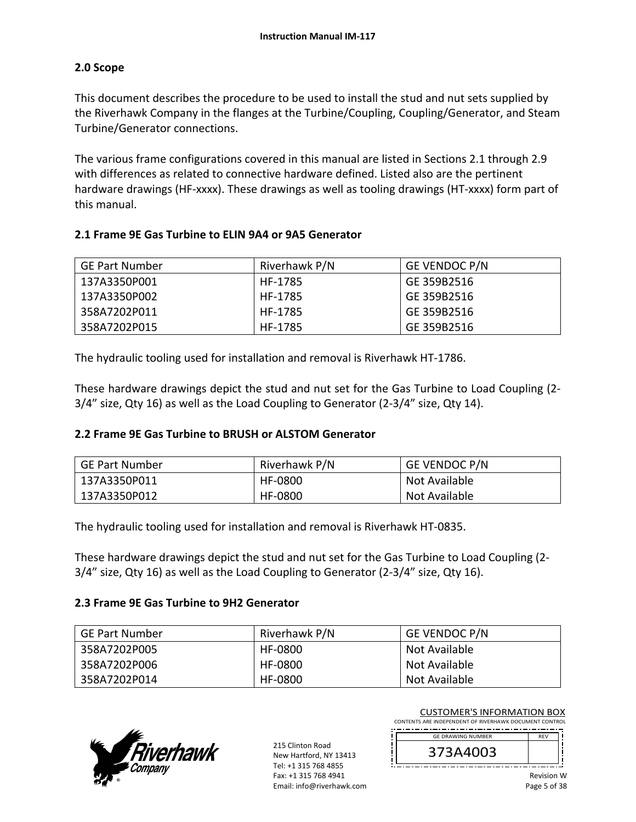### **2.0 Scope**

This document describes the procedure to be used to install the stud and nut sets supplied by the Riverhawk Company in the flanges at the Turbine/Coupling, Coupling/Generator, and Steam Turbine/Generator connections.

The various frame configurations covered in this manual are listed in Sections 2.1 through 2.9 with differences as related to connective hardware defined. Listed also are the pertinent hardware drawings (HF-xxxx). These drawings as well as tooling drawings (HT-xxxx) form part of this manual.

### **2.1 Frame 9E Gas Turbine to ELIN 9A4 or 9A5 Generator**

| <b>GE Part Number</b> | Riverhawk P/N | <b>GE VENDOC P/N</b> |
|-----------------------|---------------|----------------------|
| 137A3350P001          | HF-1785       | GE 359B2516          |
| 137A3350P002          | HF-1785       | GE 359B2516          |
| 358A7202P011          | HF-1785       | GE 359B2516          |
| 358A7202P015          | HF-1785       | GE 359B2516          |

The hydraulic tooling used for installation and removal is Riverhawk HT‐1786.

These hardware drawings depict the stud and nut set for the Gas Turbine to Load Coupling (2‐ 3/4" size, Qty 16) as well as the Load Coupling to Generator (2‐3/4" size, Qty 14).

### **2.2 Frame 9E Gas Turbine to BRUSH or ALSTOM Generator**

| GE Part Number | Riverhawk P/N | <b>GE VENDOC P/N</b> |
|----------------|---------------|----------------------|
| 137A3350P011   | HF-0800       | Not Available        |
| 137A3350P012   | HF-0800       | Not Available        |

The hydraulic tooling used for installation and removal is Riverhawk HT‐0835.

These hardware drawings depict the stud and nut set for the Gas Turbine to Load Coupling (2‐ 3/4" size, Qty 16) as well as the Load Coupling to Generator (2‐3/4" size, Qty 16).

### **2.3 Frame 9E Gas Turbine to 9H2 Generator**

| <b>GE Part Number</b> | Riverhawk P/N | <b>GE VENDOC P/N</b> |
|-----------------------|---------------|----------------------|
| 358A7202P005          | HF-0800       | Not Available        |
| 358A7202P006          | HF-0800       | Not Available        |
| 358A7202P014          | HF-0800       | Not Available        |



215 Clinton Road New Hartford, NY 13413 Tel: +1 315 768 4855 Fax: +1 315 768 4941 Email: info@riverhawk.com CUSTOMER'S INFORMATION BOX

CONTENTS ARE INDEPENDENT OF RIVERHAWK DOCUMENT CONTROL DE<sub>V</sub> GE DRAWING NUMBER

373A4003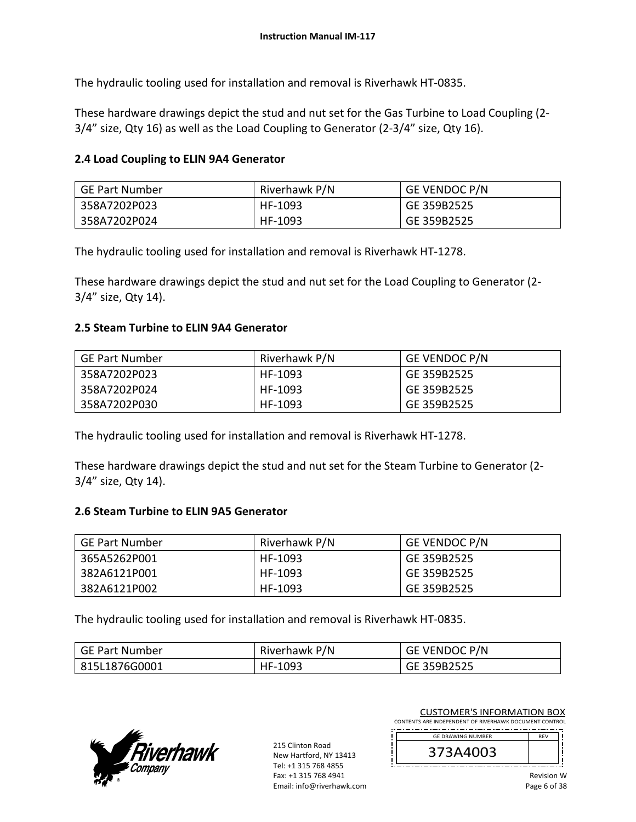The hydraulic tooling used for installation and removal is Riverhawk HT‐0835.

These hardware drawings depict the stud and nut set for the Gas Turbine to Load Coupling (2‐ 3/4" size, Qty 16) as well as the Load Coupling to Generator (2‐3/4" size, Qty 16).

#### **2.4 Load Coupling to ELIN 9A4 Generator**

| GE Part Number | Riverhawk P/N | <b>GE VENDOC P/N</b> |
|----------------|---------------|----------------------|
| 358A7202P023   | HF-1093       | GE 359B2525          |
| 358A7202P024   | HF-1093       | GE 359B2525          |

The hydraulic tooling used for installation and removal is Riverhawk HT‐1278.

These hardware drawings depict the stud and nut set for the Load Coupling to Generator (2‐ 3/4" size, Qty 14).

#### **2.5 Steam Turbine to ELIN 9A4 Generator**

| GE Part Number | Riverhawk P/N | <b>GE VENDOC P/N</b> |
|----------------|---------------|----------------------|
| 358A7202P023   | HF-1093       | GE 359B2525          |
| 358A7202P024   | HF-1093       | GE 359B2525          |
| 358A7202P030   | HF-1093       | GE 359B2525          |

The hydraulic tooling used for installation and removal is Riverhawk HT‐1278.

These hardware drawings depict the stud and nut set for the Steam Turbine to Generator (2‐ 3/4" size, Qty 14).

#### **2.6 Steam Turbine to ELIN 9A5 Generator**

| <b>GE Part Number</b> | Riverhawk P/N | <b>GE VENDOC P/N</b> |
|-----------------------|---------------|----------------------|
| 365A5262P001          | HF-1093       | GE 359B2525          |
| 382A6121P001          | HF-1093       | GE 359B2525          |
| 382A6121P002          | HF-1093       | GE 359B2525          |

The hydraulic tooling used for installation and removal is Riverhawk HT‐0835.

| GE Part Number | Riverhawk P/N | GE VENDOC P/N |
|----------------|---------------|---------------|
| 815L1876G0001  | HF-1093       | GE 359B2525   |



215 Clinton Road New Hartford, NY 13413 Tel: +1 315 768 4855 Fax: +1 315 768 4941 Email: info@riverhawk.com

CUSTOMER'S INFORMATION BOX CONTENTS ARE INDEPENDENT OF RIVERHAWK DOCUMENT CONTROL

 REV GE DRAWING NUMBER

| - 440 —<br>0P<br>÷. |  |
|---------------------|--|
|                     |  |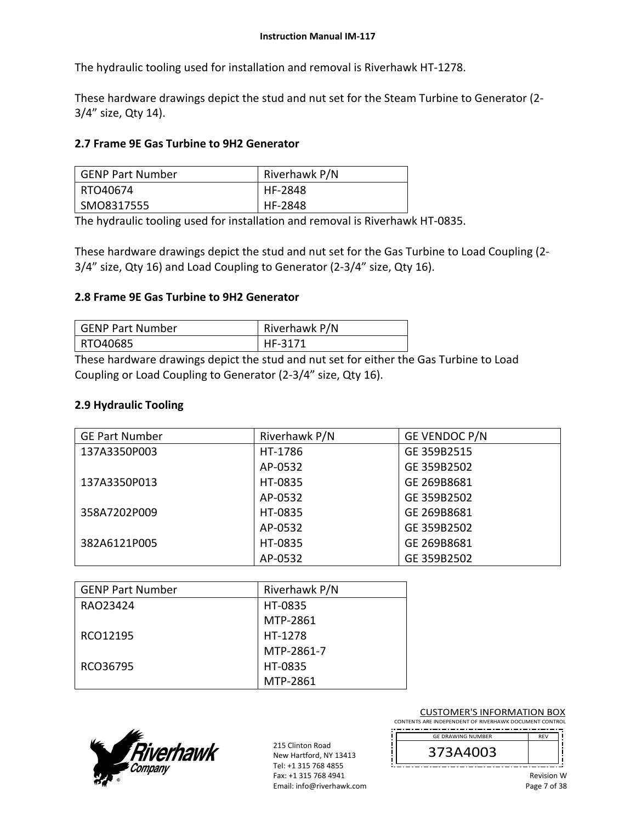The hydraulic tooling used for installation and removal is Riverhawk HT‐1278.

These hardware drawings depict the stud and nut set for the Steam Turbine to Generator (2‐ 3/4" size, Qty 14).

### **2.7 Frame 9E Gas Turbine to 9H2 Generator**

| <b>GENP Part Number</b> | Riverhawk P/N |
|-------------------------|---------------|
| RTO40674                | HF-2848       |
| SMO8317555              | HF-2848       |

The hydraulic tooling used for installation and removal is Riverhawk HT‐0835.

These hardware drawings depict the stud and nut set for the Gas Turbine to Load Coupling (2‐ 3/4" size, Qty 16) and Load Coupling to Generator (2‐3/4" size, Qty 16).

### **2.8 Frame 9E Gas Turbine to 9H2 Generator**

| GENP Part Number | Riverhawk P/N |
|------------------|---------------|
| RTO40685         | HF-3171       |

These hardware drawings depict the stud and nut set for either the Gas Turbine to Load Coupling or Load Coupling to Generator (2‐3/4" size, Qty 16).

### **2.9 Hydraulic Tooling**

| <b>GE Part Number</b> | Riverhawk P/N | GE VENDOC P/N |
|-----------------------|---------------|---------------|
| 137A3350P003          | HT-1786       | GE 359B2515   |
|                       | AP-0532       | GE 359B2502   |
| 137A3350P013          | HT-0835       | GE 269B8681   |
|                       | AP-0532       | GE 359B2502   |
| 358A7202P009          | HT-0835       | GE 269B8681   |
|                       | AP-0532       | GE 359B2502   |
| 382A6121P005          | HT-0835       | GE 269B8681   |
|                       | AP-0532       | GE 359B2502   |

| <b>GENP Part Number</b> | Riverhawk P/N |
|-------------------------|---------------|
| RAO23424                | HT-0835       |
|                         | MTP-2861      |
| RCO12195                | HT-1278       |
|                         | MTP-2861-7    |
| RCO36795                | HT-0835       |
|                         | MTP-2861      |



215 Clinton Road New Hartford, NY 13413 Tel: +1 315 768 4855 Fax: +1 315 768 4941 Email: info@riverhawk.com CUSTOMER'S INFORMATION BOX

CONTENTS ARE INDEPENDENT OF RIVERHAWK DOCUMENT CONTROL GE DRAWING NUMBER DE<sub>V</sub>

373A4003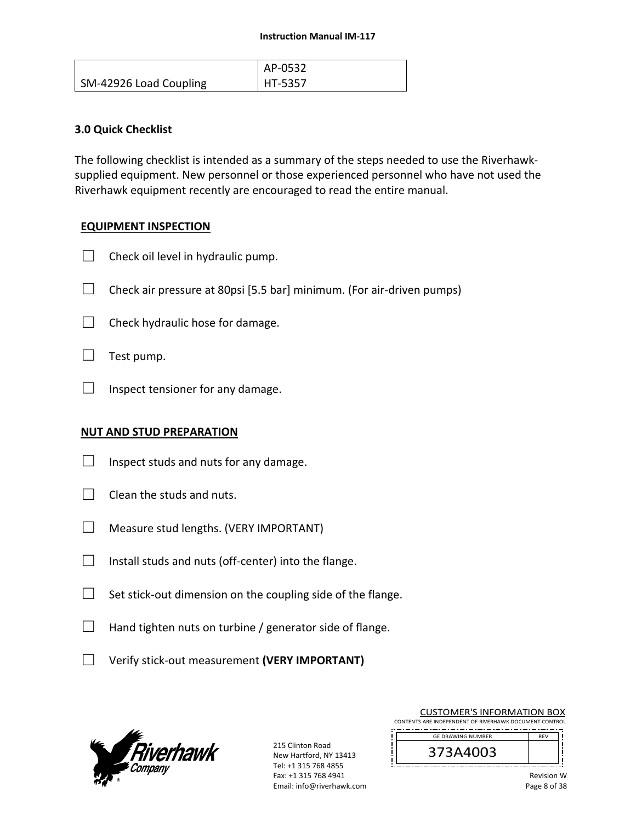|                        | AP-0532 |
|------------------------|---------|
| SM-42926 Load Coupling | HT-5357 |

### **3.0 Quick Checklist**

The following checklist is intended as a summary of the steps needed to use the Riverhawk‐ supplied equipment. New personnel or those experienced personnel who have not used the Riverhawk equipment recently are encouraged to read the entire manual.

### **EQUIPMENT INSPECTION**

- $\Box$  Check oil level in hydraulic pump.
- $\Box$  Check air pressure at 80psi [5.5 bar] minimum. (For air-driven pumps)
- $\Box$  Check hydraulic hose for damage.
- $\Box$  Test pump.
- $\Box$  Inspect tensioner for any damage.

### **NUT AND STUD PREPARATION**

- $\Box$  Inspect studs and nuts for any damage.
- $\Box$  Clean the studs and nuts.
- $\Box$  Measure stud lengths. (VERY IMPORTANT)
- $\Box$  Install studs and nuts (off-center) into the flange.
- $\Box$  Set stick-out dimension on the coupling side of the flange.
- $\Box$  Hand tighten nuts on turbine / generator side of flange.
- □ Verify stick‐out measurement **(VERY IMPORTANT)**



215 Clinton Road New Hartford, NY 13413 Tel: +1 315 768 4855 Fax: +1 315 768 4941 Email: info@riverhawk.com

|  | <b>CUSTOMER'S INFORMATION BOX</b> |  |
|--|-----------------------------------|--|
|  |                                   |  |

CONTENTS ARE INDEPENDENT OF RIVERHAWK DOCUMENT CONTROL 

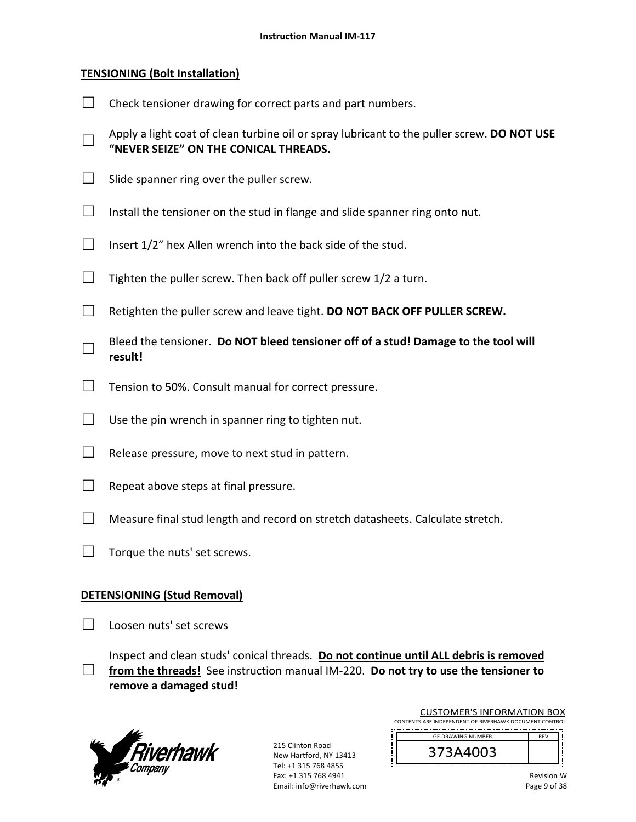### **TENSIONING (Bolt Installation)**

- $\Box$  Check tensioner drawing for correct parts and part numbers. □ Apply a light coat of clean turbine oil or spray lubricant to the puller screw. **DO NOT USE "NEVER SEIZE" ON THE CONICAL THREADS.**  $\Box$  Slide spanner ring over the puller screw.  $\Box$  Install the tensioner on the stud in flange and slide spanner ring onto nut.  $\Box$  Insert 1/2" hex Allen wrench into the back side of the stud.
- $\Box$  Tighten the puller screw. Then back off puller screw 1/2 a turn.
- □ Retighten the puller screw and leave tight. **DO NOT BACK OFF PULLER SCREW.**
- □ Bleed the tensioner. **Do NOT bleed tensioner off of a stud! Damage to the tool will result!**
- $\Box$  Tension to 50%. Consult manual for correct pressure.
- $\Box$  Use the pin wrench in spanner ring to tighten nut.
- $\Box$  Release pressure, move to next stud in pattern.
- $\Box$  Repeat above steps at final pressure.
- $\Box$  Measure final stud length and record on stretch datasheets. Calculate stretch.
- $\Box$  Torque the nuts' set screws.

#### **DETENSIONING (Stud Removal)**

□ Loosen nuts' set screws

□ Inspect and clean studs' conical threads. **Do not continue until ALL debris is removed from the threads!** See instruction manual IM‐220. **Do not try to use the tensioner to remove a damaged stud!** 



215 Clinton Road New Hartford, NY 13413 Tel: +1 315 768 4855 Fax: +1 315 768 4941 Email: info@riverhawk.com

| <b>CUSTOMER'S INFORMATION BOX</b>                      |  |  |
|--------------------------------------------------------|--|--|
| CONTENTS ARE INDEPENDENT OF RIVERHAWK DOCUMENT CONTROL |  |  |

 REV GE DRAWING NUMBER

|--|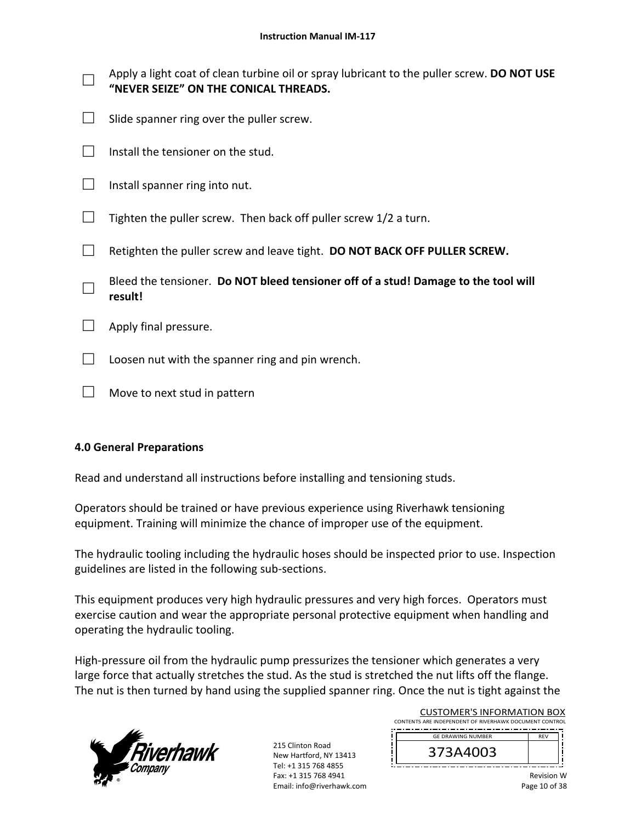| Apply a light coat of clean turbine oil or spray lubricant to the puller screw. DO NOT USE<br>"NEVER SEIZE" ON THE CONICAL THREADS. |
|-------------------------------------------------------------------------------------------------------------------------------------|
| Slide spanner ring over the puller screw.                                                                                           |
| Install the tensioner on the stud.                                                                                                  |
| Install spanner ring into nut.                                                                                                      |
| Tighten the puller screw. Then back off puller screw 1/2 a turn.                                                                    |
| Retighten the puller screw and leave tight. DO NOT BACK OFF PULLER SCREW.                                                           |
| Bleed the tensioner. Do NOT bleed tensioner off of a stud! Damage to the tool will<br>result!                                       |
| Apply final pressure.                                                                                                               |
| Loosen nut with the spanner ring and pin wrench.                                                                                    |
| Move to next stud in pattern                                                                                                        |

### **4.0 General Preparations**

Read and understand all instructions before installing and tensioning studs.

Operators should be trained or have previous experience using Riverhawk tensioning equipment. Training will minimize the chance of improper use of the equipment.

The hydraulic tooling including the hydraulic hoses should be inspected prior to use. Inspection guidelines are listed in the following sub‐sections.

This equipment produces very high hydraulic pressures and very high forces. Operators must exercise caution and wear the appropriate personal protective equipment when handling and operating the hydraulic tooling.

High-pressure oil from the hydraulic pump pressurizes the tensioner which generates a very large force that actually stretches the stud. As the stud is stretched the nut lifts off the flange. The nut is then turned by hand using the supplied spanner ring. Once the nut is tight against the



215 Clinton Road New Hartford, NY 13413 Tel: +1 315 768 4855 Fax: +1 315 768 4941 Email: info@riverhawk.com

| <b>CUSTOMER'S INFORMATION BOX</b>                      |  |  |
|--------------------------------------------------------|--|--|
| CONTENTS ARE INDEPENDENT OF RIVERHAWK DOCUMENT CONTROL |  |  |
| <b>GE DRAWING NUMBER</b>                               |  |  |

373A4003

Ĩ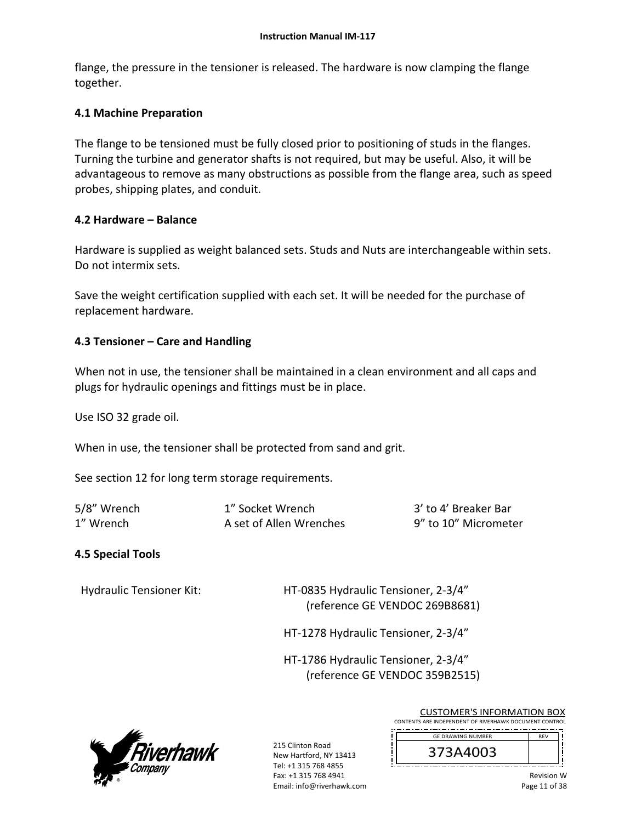flange, the pressure in the tensioner is released. The hardware is now clamping the flange together.

### **4.1 Machine Preparation**

The flange to be tensioned must be fully closed prior to positioning of studs in the flanges. Turning the turbine and generator shafts is not required, but may be useful. Also, it will be advantageous to remove as many obstructions as possible from the flange area, such as speed probes, shipping plates, and conduit.

### **4.2 Hardware – Balance**

Hardware is supplied as weight balanced sets. Studs and Nuts are interchangeable within sets. Do not intermix sets.

Save the weight certification supplied with each set. It will be needed for the purchase of replacement hardware.

### **4.3 Tensioner – Care and Handling**

When not in use, the tensioner shall be maintained in a clean environment and all caps and plugs for hydraulic openings and fittings must be in place.

Use ISO 32 grade oil.

When in use, the tensioner shall be protected from sand and grit.

See section 12 for long term storage requirements.

| 5/8" Wrench | 1" Socket Wrench        | 3' to 4' Breaker Bar |
|-------------|-------------------------|----------------------|
| 1" Wrench   | A set of Allen Wrenches | 9" to 10" Micrometer |

### **4.5 Special Tools**

Hydraulic Tensioner Kit: HT‐0835 Hydraulic Tensioner, 2‐3/4" (reference GE VENDOC 269B8681)

HT‐1278 Hydraulic Tensioner, 2‐3/4"

 HT‐1786 Hydraulic Tensioner, 2‐3/4" (reference GE VENDOC 359B2515)



215 Clinton Road New Hartford, NY 13413 Tel: +1 315 768 4855 Fax: +1 315 768 4941 Email: info@riverhawk.com CUSTOMER'S INFORMATION BOX

CONTENTS ARE INDEPENDENT OF RIVERHAWK DOCUMENT CONTROL REV GE DRAWING NUMBER

| 73A4003<br>⊃ |  |
|--------------|--|
|              |  |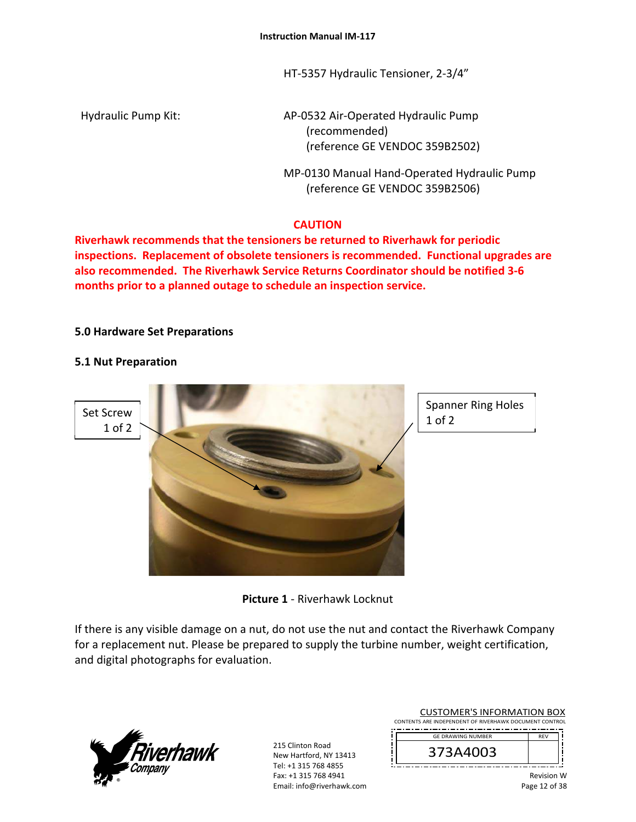HT‐5357 Hydraulic Tensioner, 2‐3/4"

Hydraulic Pump Kit: 
and AP-0532 Air-Operated Hydraulic Pump (recommended) (reference GE VENDOC 359B2502)

> MP‐0130 Manual Hand‐Operated Hydraulic Pump (reference GE VENDOC 359B2506)

# **CAUTION**

**Riverhawk recommends that the tensioners be returned to Riverhawk for periodic inspections. Replacement of obsolete tensioners is recommended. Functional upgrades are also recommended. The Riverhawk Service Returns Coordinator should be notified 3‐6 months prior to a planned outage to schedule an inspection service.** 

### **5.0 Hardware Set Preparations**

### **5.1 Nut Preparation**



Spanner Ring Holes 1 of 2

**Picture 1** ‐ Riverhawk Locknut

If there is any visible damage on a nut, do not use the nut and contact the Riverhawk Company for a replacement nut. Please be prepared to supply the turbine number, weight certification, and digital photographs for evaluation.



215 Clinton Road New Hartford, NY 13413 Tel: +1 315 768 4855 Fax: +1 315 768 4941 Email: info@riverhawk.com

CUSTOMER'S INFORMATION BOX CONTENTS ARE INDEPENDENT OF RIVERHAWK DOCUMENT CONTROL

 REV GE DRAWING NUMBER

373A4003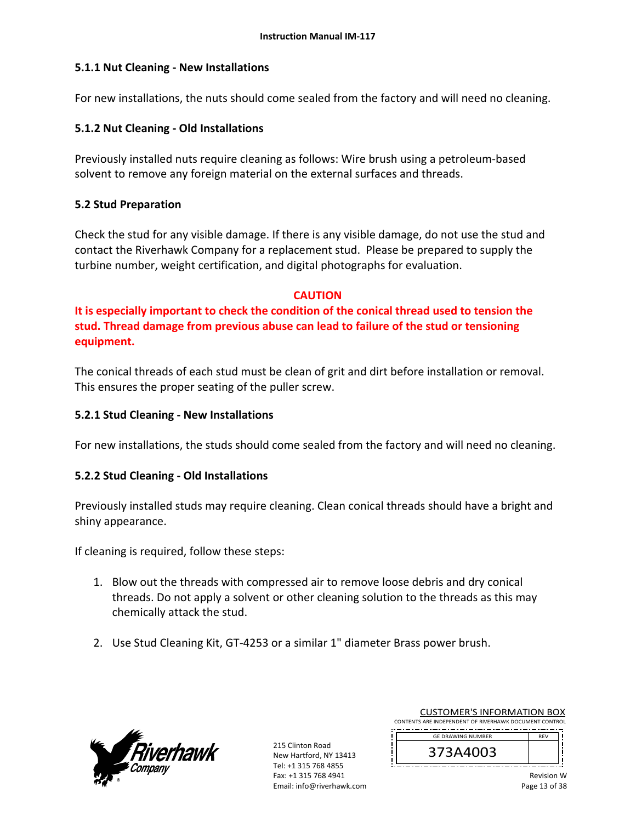### **5.1.1 Nut Cleaning ‐ New Installations**

For new installations, the nuts should come sealed from the factory and will need no cleaning.

### **5.1.2 Nut Cleaning ‐ Old Installations**

Previously installed nuts require cleaning as follows: Wire brush using a petroleum‐based solvent to remove any foreign material on the external surfaces and threads.

### **5.2 Stud Preparation**

Check the stud for any visible damage. If there is any visible damage, do not use the stud and contact the Riverhawk Company for a replacement stud. Please be prepared to supply the turbine number, weight certification, and digital photographs for evaluation.

#### **CAUTION**

**It is especially important to check the condition of the conical thread used to tension the stud. Thread damage from previous abuse can lead to failure of the stud or tensioning equipment.**

The conical threads of each stud must be clean of grit and dirt before installation or removal. This ensures the proper seating of the puller screw.

### **5.2.1 Stud Cleaning ‐ New Installations**

For new installations, the studs should come sealed from the factory and will need no cleaning.

### **5.2.2 Stud Cleaning ‐ Old Installations**

Previously installed studs may require cleaning. Clean conical threads should have a bright and shiny appearance.

If cleaning is required, follow these steps:

- 1. Blow out the threads with compressed air to remove loose debris and dry conical threads. Do not apply a solvent or other cleaning solution to the threads as this may chemically attack the stud.
- 2. Use Stud Cleaning Kit, GT‐4253 or a similar 1" diameter Brass power brush.



215 Clinton Road New Hartford, NY 13413 Tel: +1 315 768 4855 Fax: +1 315 768 4941 Email: info@riverhawk.com

CUSTOMER'S INFORMATION BOX CONTENTS ARE INDEPENDENT OF RIVERHAWK DOCUMENT CONTROL

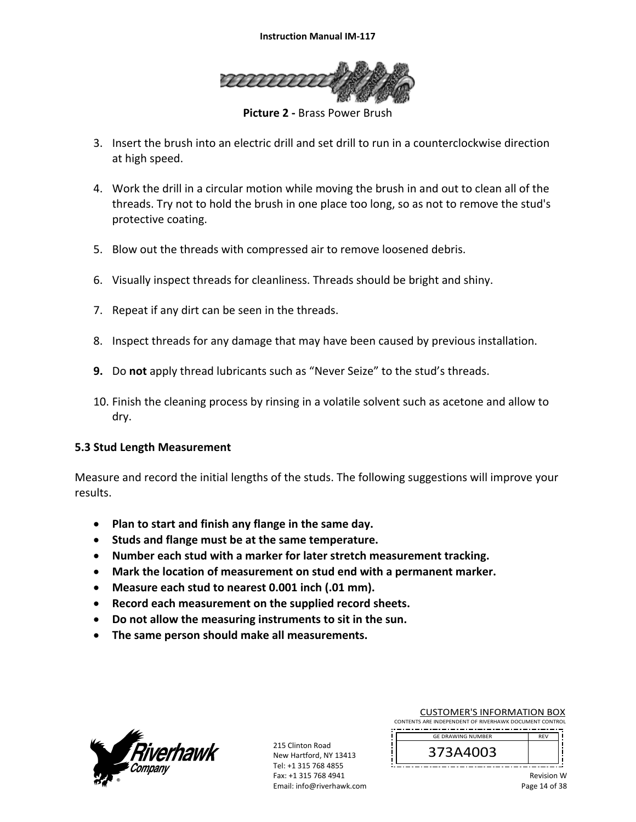

**Picture 2 ‐** Brass Power Brush

- 3. Insert the brush into an electric drill and set drill to run in a counterclockwise direction at high speed.
- 4. Work the drill in a circular motion while moving the brush in and out to clean all of the threads. Try not to hold the brush in one place too long, so as not to remove the stud's protective coating.
- 5. Blow out the threads with compressed air to remove loosened debris.
- 6. Visually inspect threads for cleanliness. Threads should be bright and shiny.
- 7. Repeat if any dirt can be seen in the threads.
- 8. Inspect threads for any damage that may have been caused by previous installation.
- **9.** Do **not** apply thread lubricants such as "Never Seize" to the stud's threads.
- 10. Finish the cleaning process by rinsing in a volatile solvent such as acetone and allow to dry.

#### **5.3 Stud Length Measurement**

Measure and record the initial lengths of the studs. The following suggestions will improve your results.

- **Plan to start and finish any flange in the same day.**
- **Studs and flange must be at the same temperature.**
- **Number each stud with a marker for later stretch measurement tracking.**
- **Mark the location of measurement on stud end with a permanent marker.**
- **Measure each stud to nearest 0.001 inch (.01 mm).**
- **Record each measurement on the supplied record sheets.**
- **Do not allow the measuring instruments to sit in the sun.**
- **The same person should make all measurements.**



215 Clinton Road New Hartford, NY 13413 Tel: +1 315 768 4855 Fax: +1 315 768 4941 Email: info@riverhawk.com CUSTOMER'S INFORMATION BOX

CONTENTS ARE INDEPENDENT OF RIVERHAWK DOCUMENT CONTROL 

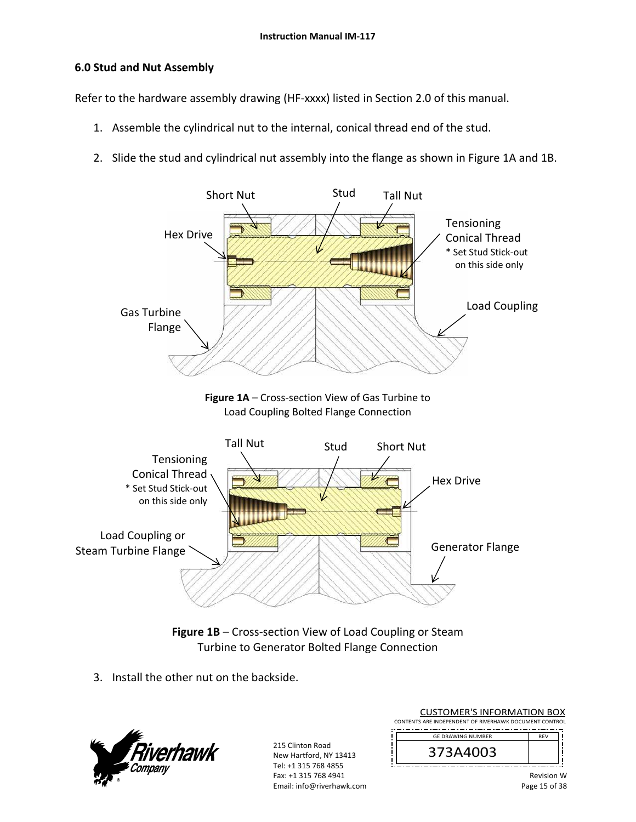### **6.0 Stud and Nut Assembly**

Refer to the hardware assembly drawing (HF-xxxx) listed in Section 2.0 of this manual.

- 1. Assemble the cylindrical nut to the internal, conical thread end of the stud.
- 2. Slide the stud and cylindrical nut assembly into the flange as shown in Figure 1A and 1B.



Figure 1B – Cross-section View of Load Coupling or Steam Turbine to Generator Bolted Flange Connection

3. Install the other nut on the backside.



215 Clinton Road New Hartford, NY 13413 Tel: +1 315 768 4855 Fax: +1 315 768 4941 Email: info@riverhawk.com CUSTOMER'S INFORMATION BOX

CONTENTS ARE INDEPENDENT OF RIVERHAWK DOCUMENT CONTROL GE DRAWING NUMBER

REV 373A4003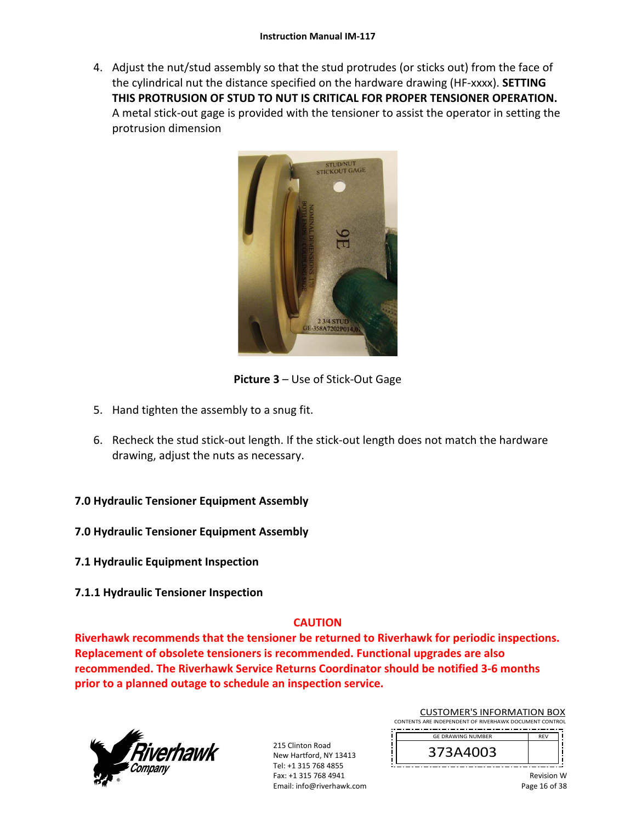4. Adjust the nut/stud assembly so that the stud protrudes (or sticks out) from the face of the cylindrical nut the distance specified on the hardware drawing (HF‐xxxx). **SETTING THIS PROTRUSION OF STUD TO NUT IS CRITICAL FOR PROPER TENSIONER OPERATION.** A metal stick‐out gage is provided with the tensioner to assist the operator in setting the protrusion dimension



**Picture 3** – Use of Stick‐Out Gage

- 5. Hand tighten the assembly to a snug fit.
- 6. Recheck the stud stick‐out length. If the stick‐out length does not match the hardware drawing, adjust the nuts as necessary.

### **7.0 Hydraulic Tensioner Equipment Assembly**

- **7.0 Hydraulic Tensioner Equipment Assembly**
- **7.1 Hydraulic Equipment Inspection**
- **7.1.1 Hydraulic Tensioner Inspection**

# **CAUTION**

**Riverhawk recommends that the tensioner be returned to Riverhawk for periodic inspections. Replacement of obsolete tensioners is recommended. Functional upgrades are also recommended. The Riverhawk Service Returns Coordinator should be notified 3‐6 months prior to a planned outage to schedule an inspection service.** 



215 Clinton Road New Hartford, NY 13413 Tel: +1 315 768 4855 Fax: +1 315 768 4941 Email: info@riverhawk.com CUSTOMER'S INFORMATION BOX

CONTENTS ARE INDEPENDENT OF RIVERHAWK DOCUMENT CONTROL 

| <b>GE DRAWING NUMBER</b> |  |
|--------------------------|--|
| /3A4003<br>э             |  |
|                          |  |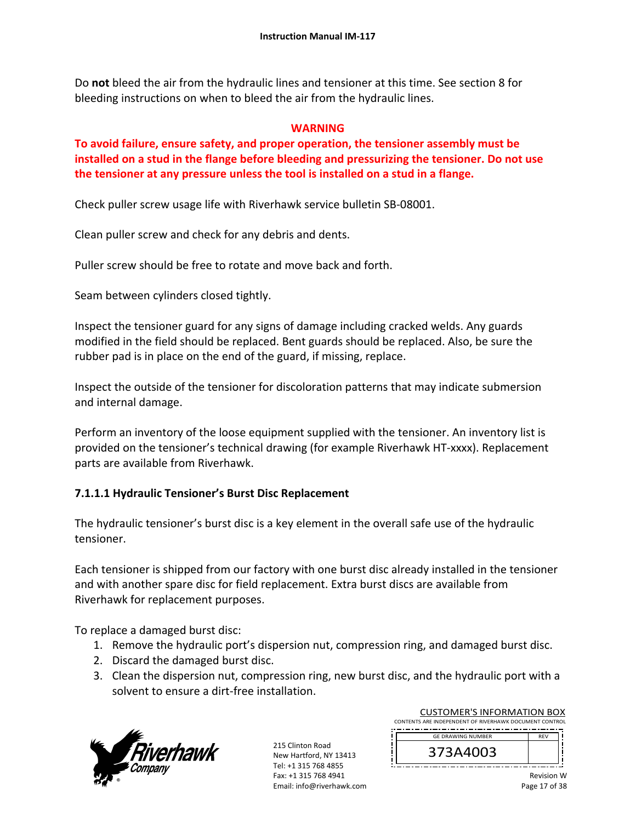Do **not** bleed the air from the hydraulic lines and tensioner at this time. See section 8 for bleeding instructions on when to bleed the air from the hydraulic lines.

#### **WARNING**

**To avoid failure, ensure safety, and proper operation, the tensioner assembly must be installed on a stud in the flange before bleeding and pressurizing the tensioner. Do not use the tensioner at any pressure unless the tool is installed on a stud in a flange.** 

Check puller screw usage life with Riverhawk service bulletin SB‐08001.

Clean puller screw and check for any debris and dents.

Puller screw should be free to rotate and move back and forth.

Seam between cylinders closed tightly.

Inspect the tensioner guard for any signs of damage including cracked welds. Any guards modified in the field should be replaced. Bent guards should be replaced. Also, be sure the rubber pad is in place on the end of the guard, if missing, replace.

Inspect the outside of the tensioner for discoloration patterns that may indicate submersion and internal damage.

Perform an inventory of the loose equipment supplied with the tensioner. An inventory list is provided on the tensioner's technical drawing (for example Riverhawk HT‐xxxx). Replacement parts are available from Riverhawk.

### **7.1.1.1 Hydraulic Tensioner's Burst Disc Replacement**

The hydraulic tensioner's burst disc is a key element in the overall safe use of the hydraulic tensioner.

Each tensioner is shipped from our factory with one burst disc already installed in the tensioner and with another spare disc for field replacement. Extra burst discs are available from Riverhawk for replacement purposes.

To replace a damaged burst disc:

- 1. Remove the hydraulic port's dispersion nut, compression ring, and damaged burst disc.
- 2. Discard the damaged burst disc.
- 3. Clean the dispersion nut, compression ring, new burst disc, and the hydraulic port with a solvent to ensure a dirt‐free installation.



215 Clinton Road New Hartford, NY 13413 Tel: +1 315 768 4855 Fax: +1 315 768 4941 Email: info@riverhawk.com

CUSTOMER'S INFORMATION BOX CONTENTS ARE INDEPENDENT OF RIVERHAWK DOCUMENT CONTROL 

REV 373A4003 GE DRAWING NUMBER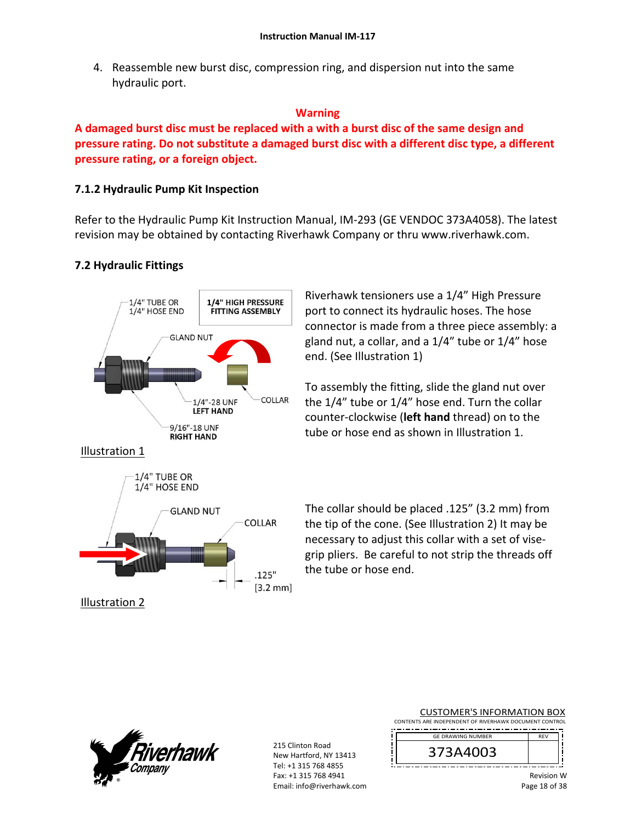4. Reassemble new burst disc, compression ring, and dispersion nut into the same hydraulic port.

#### **Warning**

**A damaged burst disc must be replaced with a with a burst disc of the same design and pressure rating. Do not substitute a damaged burst disc with a different disc type, a different pressure rating, or a foreign object.**

### **7.1.2 Hydraulic Pump Kit Inspection**

Refer to the Hydraulic Pump Kit Instruction Manual, IM‐293 (GE VENDOC 373A4058). The latest revision may be obtained by contacting Riverhawk Company or thru www.riverhawk.com.

### **7.2 Hydraulic Fittings**



Riverhawk tensioners use a 1/4" High Pressure port to connect its hydraulic hoses. The hose connector is made from a three piece assembly: a gland nut, a collar, and a 1/4" tube or 1/4" hose end. (See Illustration 1)

To assembly the fitting, slide the gland nut over the 1/4" tube or 1/4" hose end. Turn the collar counter‐clockwise (**left hand** thread) on to the tube or hose end as shown in Illustration 1.

The collar should be placed .125" (3.2 mm) from the tip of the cone. (See Illustration 2) It may be necessary to adjust this collar with a set of vise‐ grip pliers. Be careful to not strip the threads off the tube or hose end.



215 Clinton Road New Hartford, NY 13413 Tel: +1 315 768 4855 Fax: +1 315 768 4941 Email: info@riverhawk.com

#### CUSTOMER'S INFORMATION BOX

CONTENTS ARE INDEPENDENT OF RIVERHAWK DOCUMENT CONTROL 

DE<sub>V</sub> 373A4003 GE DRAWING NUMBER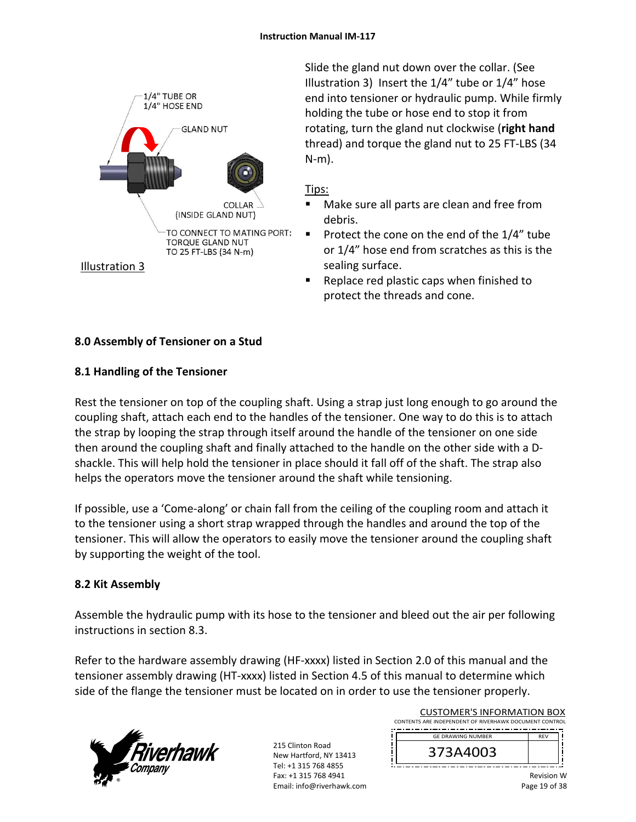

Slide the gland nut down over the collar. (See Illustration 3) Insert the 1/4" tube or 1/4" hose end into tensioner or hydraulic pump. While firmly holding the tube or hose end to stop it from rotating, turn the gland nut clockwise (**right hand** thread) and torque the gland nut to 25 FT‐LBS (34 N‐m).

### Tips:

- Make sure all parts are clean and free from debris.
- Protect the cone on the end of the  $1/4$ " tube or 1/4" hose end from scratches as this is the sealing surface.
- Replace red plastic caps when finished to protect the threads and cone.

# **8.0 Assembly of Tensioner on a Stud**

### **8.1 Handling of the Tensioner**

Rest the tensioner on top of the coupling shaft. Using a strap just long enough to go around the coupling shaft, attach each end to the handles of the tensioner. One way to do this is to attach the strap by looping the strap through itself around the handle of the tensioner on one side then around the coupling shaft and finally attached to the handle on the other side with a D‐ shackle. This will help hold the tensioner in place should it fall off of the shaft. The strap also helps the operators move the tensioner around the shaft while tensioning.

If possible, use a 'Come‐along' or chain fall from the ceiling of the coupling room and attach it to the tensioner using a short strap wrapped through the handles and around the top of the tensioner. This will allow the operators to easily move the tensioner around the coupling shaft by supporting the weight of the tool.

### **8.2 Kit Assembly**

Assemble the hydraulic pump with its hose to the tensioner and bleed out the air per following instructions in section 8.3.

Refer to the hardware assembly drawing (HF-xxxx) listed in Section 2.0 of this manual and the tensioner assembly drawing (HT‐xxxx) listed in Section 4.5 of this manual to determine which side of the flange the tensioner must be located on in order to use the tensioner properly.



215 Clinton Road New Hartford, NY 13413 Tel: +1 315 768 4855 Fax: +1 315 768 4941 Email: info@riverhawk.com

| <b>CUSTOMER'S INFORMATION BOX</b>                      |  |
|--------------------------------------------------------|--|
| CONTENTS ARE INDEPENDENT OF RIVERHAWK DOCUMENT CONTROL |  |
|                                                        |  |

REV 373A4003 GE DRAWING NUMBER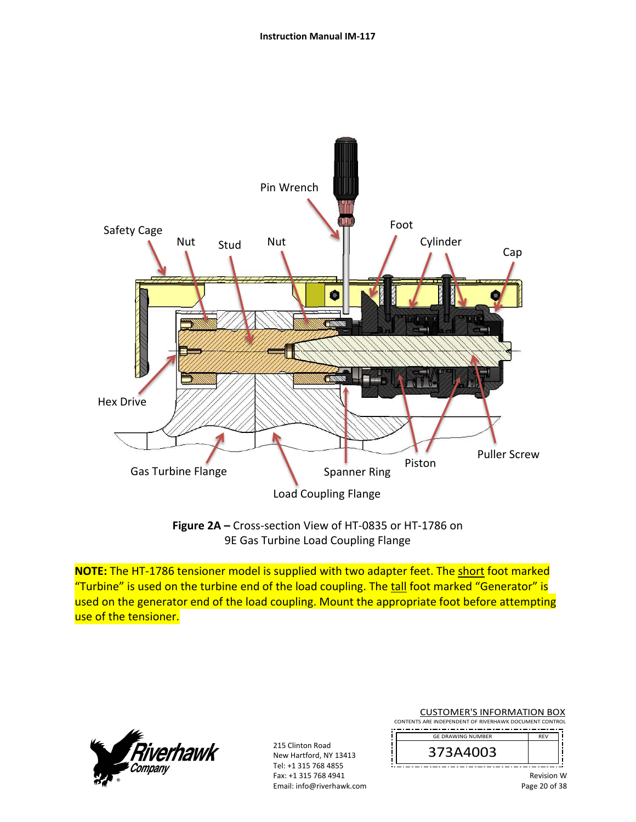

**Figure 2A –** Cross‐section View of HT‐0835 or HT‐1786 on 9E Gas Turbine Load Coupling Flange

**NOTE:** The HT‐1786 tensioner model is supplied with two adapter feet. The short foot marked "Turbine" is used on the turbine end of the load coupling. The tall foot marked "Generator" is used on the generator end of the load coupling. Mount the appropriate foot before attempting use of the tensioner.



215 Clinton Road New Hartford, NY 13413 Tel: +1 315 768 4855 Fax: +1 315 768 4941 Email: info@riverhawk.com CUSTOMER'S INFORMATION BOX

CONTENTS ARE INDEPENDENT OF RIVERHAWK DOCUMENT CONTROL 

| <b>GF DRAWING NUMBER</b> |  |
|--------------------------|--|
| 373A4003                 |  |
|                          |  |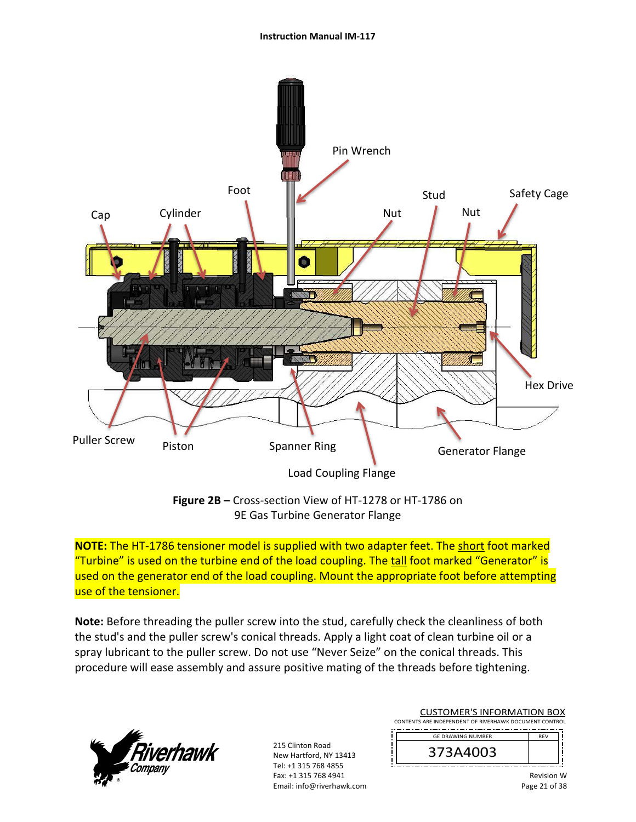

**Figure 2B –** Cross‐section View of HT‐1278 or HT‐1786 on 9E Gas Turbine Generator Flange

**NOTE:** The HT‐1786 tensioner model is supplied with two adapter feet. The short foot marked "Turbine" is used on the turbine end of the load coupling. The tall foot marked "Generator" is used on the generator end of the load coupling. Mount the appropriate foot before attempting use of the tensioner.

**Note:** Before threading the puller screw into the stud, carefully check the cleanliness of both the stud's and the puller screw's conical threads. Apply a light coat of clean turbine oil or a spray lubricant to the puller screw. Do not use "Never Seize" on the conical threads. This procedure will ease assembly and assure positive mating of the threads before tightening.



215 Clinton Road New Hartford, NY 13413 Tel: +1 315 768 4855 Fax: +1 315 768 4941 Email: info@riverhawk.com

CUSTOMER'S INFORMATION BOX CONTENTS ARE INDEPENDENT OF RIVERHAWK DOCUMENT CONTROL

| <b>GF DRAWING NUMBER</b> |  |
|--------------------------|--|
| 373A4003                 |  |
|                          |  |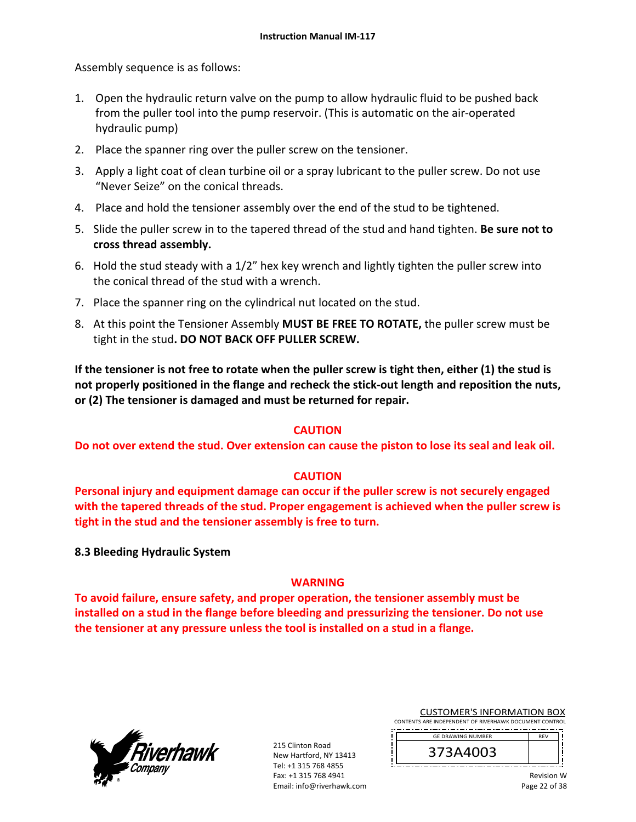Assembly sequence is as follows:

- 1. Open the hydraulic return valve on the pump to allow hydraulic fluid to be pushed back from the puller tool into the pump reservoir. (This is automatic on the air‐operated hydraulic pump)
- 2. Place the spanner ring over the puller screw on the tensioner.
- 3. Apply a light coat of clean turbine oil or a spray lubricant to the puller screw. Do not use "Never Seize" on the conical threads.
- 4. Place and hold the tensioner assembly over the end of the stud to be tightened.
- 5. Slide the puller screw in to the tapered thread of the stud and hand tighten. **Be sure not to cross thread assembly.**
- 6. Hold the stud steady with a 1/2" hex key wrench and lightly tighten the puller screw into the conical thread of the stud with a wrench.
- 7. Place the spanner ring on the cylindrical nut located on the stud.
- 8. At this point the Tensioner Assembly **MUST BE FREE TO ROTATE,** the puller screw must be tight in the stud**. DO NOT BACK OFF PULLER SCREW.**

**If the tensioner is not free to rotate when the puller screw is tight then, either (1) the stud is not properly positioned in the flange and recheck the stick‐out length and reposition the nuts, or (2) The tensioner is damaged and must be returned for repair.** 

### **CAUTION**

**Do not over extend the stud. Over extension can cause the piston to lose its seal and leak oil.** 

### **CAUTION**

**Personal injury and equipment damage can occur if the puller screw is not securely engaged with the tapered threads of the stud. Proper engagement is achieved when the puller screw is tight in the stud and the tensioner assembly is free to turn.** 

**8.3 Bleeding Hydraulic System** 

### **WARNING**

**To avoid failure, ensure safety, and proper operation, the tensioner assembly must be installed on a stud in the flange before bleeding and pressurizing the tensioner. Do not use the tensioner at any pressure unless the tool is installed on a stud in a flange.** 



215 Clinton Road New Hartford, NY 13413 Tel: +1 315 768 4855 Fax: +1 315 768 4941 Email: info@riverhawk.com CUSTOMER'S INFORMATION BOX

CONTENTS ARE INDEPENDENT OF RIVERHAWK DOCUMENT CONTROL 

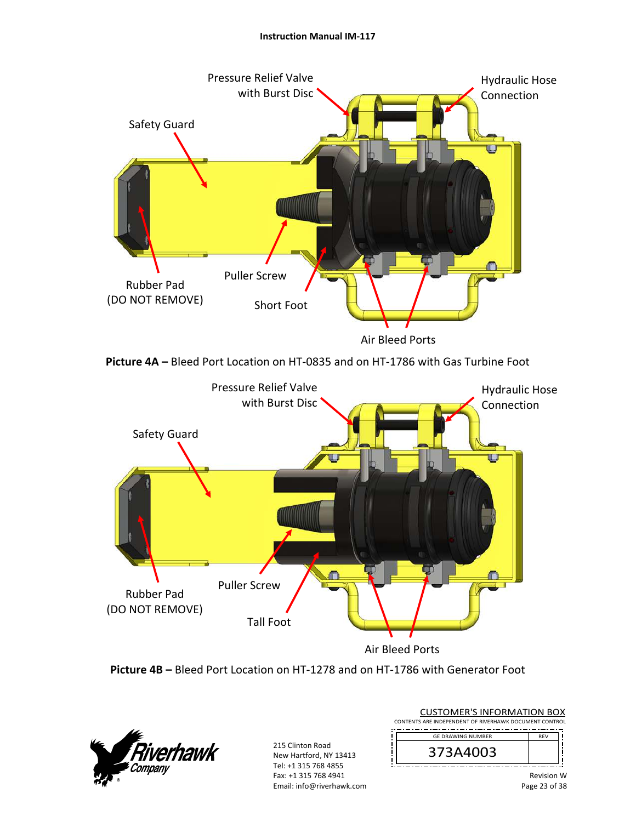#### **Instruction Manual IM‐117**





**Picture 4A –** Bleed Port Location on HT‐0835 and on HT‐1786 with Gas Turbine Foot



**Picture 4B –** Bleed Port Location on HT‐1278 and on HT‐1786 with Generator Foot



215 Clinton Road New Hartford, NY 13413 Tel: +1 315 768 4855 Fax: +1 315 768 4941 Email: info@riverhawk.com CUSTOMER'S INFORMATION BOX

CONTENTS ARE INDEPENDENT OF RIVERHAWK DOCUMENT CONTROL GE DRAWING NUMBER

373A4003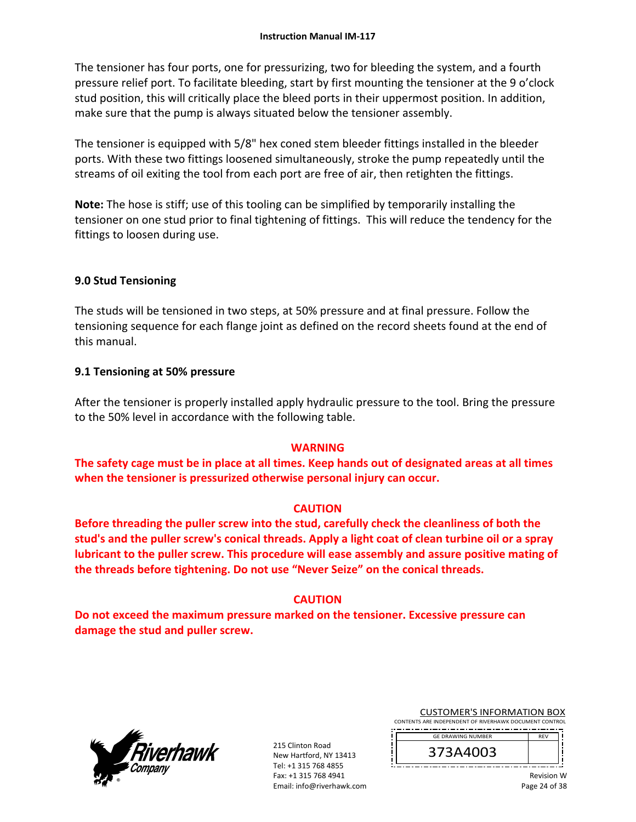The tensioner has four ports, one for pressurizing, two for bleeding the system, and a fourth pressure relief port. To facilitate bleeding, start by first mounting the tensioner at the 9 o'clock stud position, this will critically place the bleed ports in their uppermost position. In addition, make sure that the pump is always situated below the tensioner assembly.

The tensioner is equipped with 5/8" hex coned stem bleeder fittings installed in the bleeder ports. With these two fittings loosened simultaneously, stroke the pump repeatedly until the streams of oil exiting the tool from each port are free of air, then retighten the fittings.

**Note:** The hose is stiff; use of this tooling can be simplified by temporarily installing the tensioner on one stud prior to final tightening of fittings. This will reduce the tendency for the fittings to loosen during use.

### **9.0 Stud Tensioning**

The studs will be tensioned in two steps, at 50% pressure and at final pressure. Follow the tensioning sequence for each flange joint as defined on the record sheets found at the end of this manual.

#### **9.1 Tensioning at 50% pressure**

After the tensioner is properly installed apply hydraulic pressure to the tool. Bring the pressure to the 50% level in accordance with the following table.

### **WARNING**

**The safety cage must be in place at all times. Keep hands out of designated areas at all times when the tensioner is pressurized otherwise personal injury can occur.** 

#### **CAUTION**

**Before threading the puller screw into the stud, carefully check the cleanliness of both the stud's and the puller screw's conical threads. Apply a light coat of clean turbine oil or a spray lubricant to the puller screw. This procedure will ease assembly and assure positive mating of the threads before tightening. Do not use "Never Seize" on the conical threads.** 

### **CAUTION**

**Do not exceed the maximum pressure marked on the tensioner. Excessive pressure can damage the stud and puller screw.** 



215 Clinton Road New Hartford, NY 13413 Tel: +1 315 768 4855 Fax: +1 315 768 4941 Email: info@riverhawk.com CUSTOMER'S INFORMATION BOX

CONTENTS ARE INDEPENDENT OF RIVERHAWK DOCUMENT CONTROL 

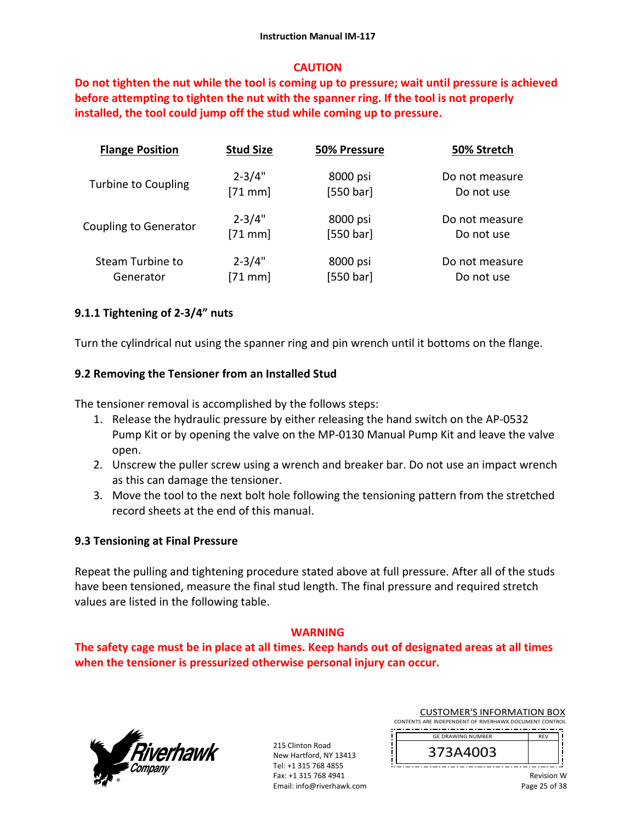#### **CAUTION**

**Do not tighten the nut while the tool is coming up to pressure; wait until pressure is achieved before attempting to tighten the nut with the spanner ring. If the tool is not properly installed, the tool could jump off the stud while coming up to pressure.** 

| <b>Flange Position</b>       | <b>Stud Size</b> | 50% Pressure | 50% Stretch    |
|------------------------------|------------------|--------------|----------------|
| <b>Turbine to Coupling</b>   | $2 - 3/4"$       | 8000 psi     | Do not measure |
|                              | $[71$ mm]        | [550 bar]    | Do not use     |
| <b>Coupling to Generator</b> | $2 - 3/4"$       | 8000 psi     | Do not measure |
|                              | $[71$ mm]        | [550 bar]    | Do not use     |
| Steam Turbine to             | $2 - 3/4"$       | 8000 psi     | Do not measure |
| Generator                    | $[71$ mm]        | [550 bar]    | Do not use     |

### **9.1.1 Tightening of 2‐3/4" nuts**

Turn the cylindrical nut using the spanner ring and pin wrench until it bottoms on the flange.

### **9.2 Removing the Tensioner from an Installed Stud**

The tensioner removal is accomplished by the follows steps:

- 1. Release the hydraulic pressure by either releasing the hand switch on the AP‐0532 Pump Kit or by opening the valve on the MP‐0130 Manual Pump Kit and leave the valve open.
- 2. Unscrew the puller screw using a wrench and breaker bar. Do not use an impact wrench as this can damage the tensioner.
- 3. Move the tool to the next bolt hole following the tensioning pattern from the stretched record sheets at the end of this manual.

### **9.3 Tensioning at Final Pressure**

Repeat the pulling and tightening procedure stated above at full pressure. After all of the studs have been tensioned, measure the final stud length. The final pressure and required stretch values are listed in the following table.

### **WARNING**

**The safety cage must be in place at all times. Keep hands out of designated areas at all times when the tensioner is pressurized otherwise personal injury can occur.** 



215 Clinton Road New Hartford, NY 13413 Tel: +1 315 768 4855 Fax: +1 315 768 4941 Email: info@riverhawk.com CUSTOMER'S INFORMATION BOX

CONTENTS ARE INDEPENDENT OF RIVERHAWK DOCUMENT CONTROL 

GE DRAWING NUMBER DE<sub>V</sub> 373A4003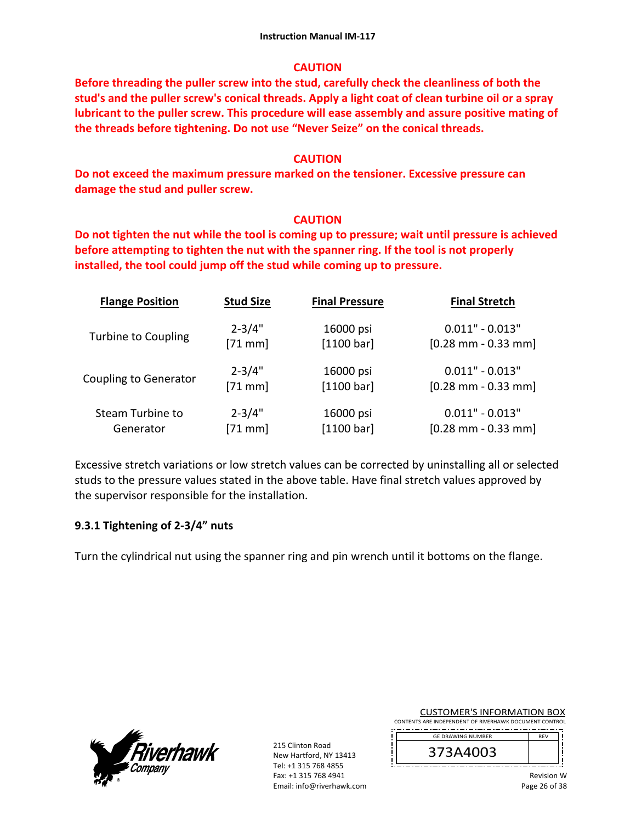### **CAUTION**

**Before threading the puller screw into the stud, carefully check the cleanliness of both the stud's and the puller screw's conical threads. Apply a light coat of clean turbine oil or a spray lubricant to the puller screw. This procedure will ease assembly and assure positive mating of the threads before tightening. Do not use "Never Seize" on the conical threads.** 

#### **CAUTION**

**Do not exceed the maximum pressure marked on the tensioner. Excessive pressure can damage the stud and puller screw.** 

### **CAUTION**

**Do not tighten the nut while the tool is coming up to pressure; wait until pressure is achieved before attempting to tighten the nut with the spanner ring. If the tool is not properly installed, the tool could jump off the stud while coming up to pressure.**

| <b>Flange Position</b>       | <b>Stud Size</b> | <b>Final Pressure</b> | <b>Final Stretch</b>                  |
|------------------------------|------------------|-----------------------|---------------------------------------|
| <b>Turbine to Coupling</b>   | $2 - 3/4"$       | 16000 psi             | $0.011" - 0.013"$                     |
|                              | $[71$ mm]        | [1100 bar]            | $[0.28 \text{ mm} - 0.33 \text{ mm}]$ |
| <b>Coupling to Generator</b> | $2 - 3/4"$       | 16000 psi             | $0.011" - 0.013"$                     |
|                              | $[71$ mm]        | [1100 bar]            | $[0.28$ mm - 0.33 mm]                 |
| Steam Turbine to             | $2 - 3/4"$       | 16000 psi             | $0.011" - 0.013"$                     |
| Generator                    | $[71$ mm]        | [1100 bar]            | $[0.28$ mm - 0.33 mm]                 |

Excessive stretch variations or low stretch values can be corrected by uninstalling all or selected studs to the pressure values stated in the above table. Have final stretch values approved by the supervisor responsible for the installation.

### **9.3.1 Tightening of 2‐3/4" nuts**

Turn the cylindrical nut using the spanner ring and pin wrench until it bottoms on the flange.



215 Clinton Road New Hartford, NY 13413 Tel: +1 315 768 4855 Fax: +1 315 768 4941 Email: info@riverhawk.com CUSTOMER'S INFORMATION BOX

CONTENTS ARE INDEPENDENT OF RIVERHAWK DOCUMENT CONTROL 

GE DRAWING NUMBER 373A4003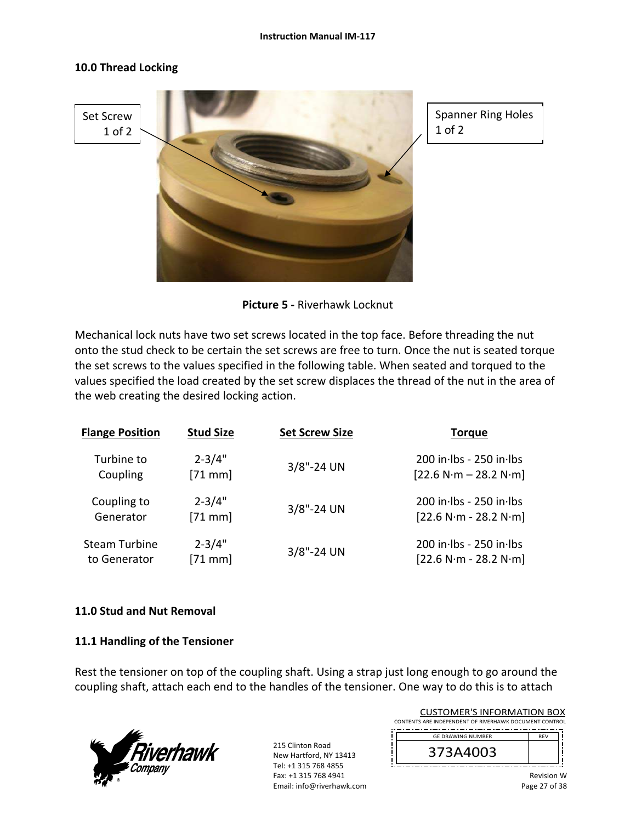#### **Instruction Manual IM‐117**

#### **10.0 Thread Locking**



Spanner Ring Holes 1 of 2

**Picture 5 ‐** Riverhawk Locknut

Mechanical lock nuts have two set screws located in the top face. Before threading the nut onto the stud check to be certain the set screws are free to turn. Once the nut is seated torque the set screws to the values specified in the following table. When seated and torqued to the values specified the load created by the set screw displaces the thread of the nut in the area of the web creating the desired locking action.

| <b>Flange Position</b> | <b>Stud Size</b> | <b>Set Screw Size</b> | <b>Torque</b>               |
|------------------------|------------------|-----------------------|-----------------------------|
| Turbine to             | $2 - 3/4"$       | $3/8$ "-24 UN         | 200 in lbs - 250 in lbs     |
| Coupling               | $[71$ mm         |                       | $[22.6 N·m - 28.2 N·m]$     |
| Coupling to            | $2 - 3/4"$       | 3/8"-24 UN            | $200$ in lbs - $250$ in lbs |
| Generator              | $[71$ mm         |                       | $[22.6 N·m - 28.2 N·m]$     |
| <b>Steam Turbine</b>   | $2 - 3/4"$       | $3/8$ "-24 UN         | $200$ in lbs - $250$ in lbs |
| to Generator           | $[71$ mm         |                       | $[22.6 N·m - 28.2 N·m]$     |

### **11.0 Stud and Nut Removal**

### **11.1 Handling of the Tensioner**

Rest the tensioner on top of the coupling shaft. Using a strap just long enough to go around the coupling shaft, attach each end to the handles of the tensioner. One way to do this is to attach



215 Clinton Road New Hartford, NY 13413 Tel: +1 315 768 4855 Fax: +1 315 768 4941 Email: info@riverhawk.com

| <b>CUSTOMER'S INFORMATION BOX</b>                      |            |
|--------------------------------------------------------|------------|
| CONTENTS ARE INDEPENDENT OF RIVERHAWK DOCUMENT CONTROL |            |
| <b>GE DRAWING NUMBER</b>                               | <b>RFV</b> |
| 373A4003                                               |            |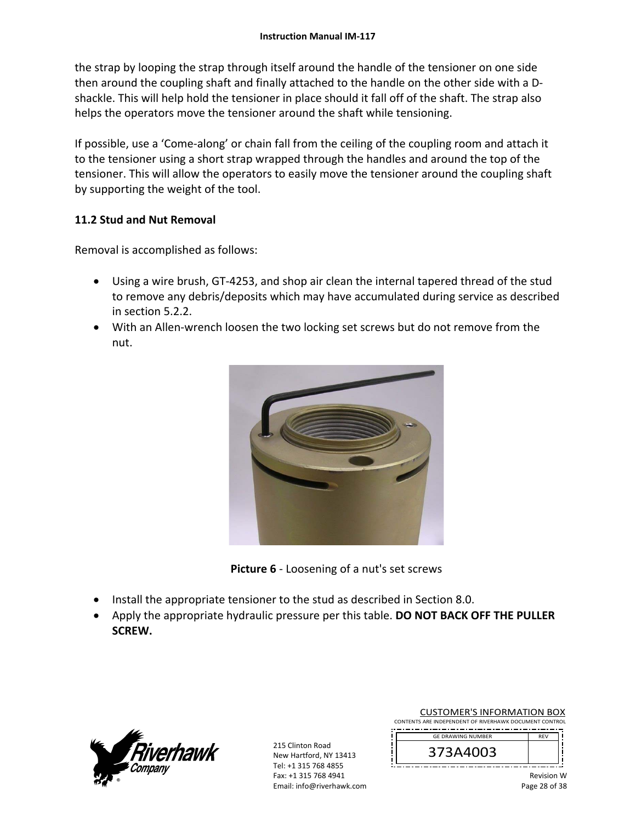the strap by looping the strap through itself around the handle of the tensioner on one side then around the coupling shaft and finally attached to the handle on the other side with a D‐ shackle. This will help hold the tensioner in place should it fall off of the shaft. The strap also helps the operators move the tensioner around the shaft while tensioning.

If possible, use a 'Come‐along' or chain fall from the ceiling of the coupling room and attach it to the tensioner using a short strap wrapped through the handles and around the top of the tensioner. This will allow the operators to easily move the tensioner around the coupling shaft by supporting the weight of the tool.

### **11.2 Stud and Nut Removal**

Removal is accomplished as follows:

- Using a wire brush, GT-4253, and shop air clean the internal tapered thread of the stud to remove any debris/deposits which may have accumulated during service as described in section 5.2.2.
- With an Allen-wrench loosen the two locking set screws but do not remove from the nut.



**Picture 6** ‐ Loosening of a nut's set screws

- Install the appropriate tensioner to the stud as described in Section 8.0.
- Apply the appropriate hydraulic pressure per this table. **DO NOT BACK OFF THE PULLER SCREW.**



215 Clinton Road New Hartford, NY 13413 Tel: +1 315 768 4855 Fax: +1 315 768 4941 Email: info@riverhawk.com CUSTOMER'S INFORMATION BOX

CONTENTS ARE INDEPENDENT OF RIVERHAWK DOCUMENT CONTROL 

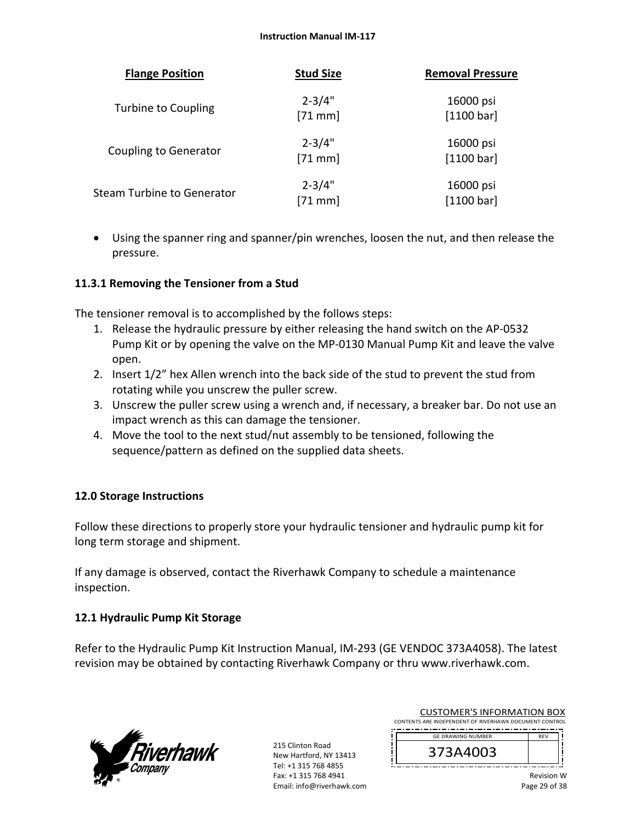| <b>Flange Position</b>            | <b>Stud Size</b>        | <b>Removal Pressure</b> |
|-----------------------------------|-------------------------|-------------------------|
| <b>Turbine to Coupling</b>        | $2 - 3/4"$<br>$[71$ mm] | 16000 psi<br>[1100 bar] |
| <b>Coupling to Generator</b>      | $2 - 3/4"$<br>$[71$ mm] | 16000 psi<br>[1100 bar] |
| <b>Steam Turbine to Generator</b> | $2 - 3/4"$<br>$[71$ mm] | 16000 psi<br>[1100 bar] |

 Using the spanner ring and spanner/pin wrenches, loosen the nut, and then release the pressure.

### **11.3.1 Removing the Tensioner from a Stud**

The tensioner removal is to accomplished by the follows steps:

- 1. Release the hydraulic pressure by either releasing the hand switch on the AP‐0532 Pump Kit or by opening the valve on the MP‐0130 Manual Pump Kit and leave the valve open.
- 2. Insert 1/2" hex Allen wrench into the back side of the stud to prevent the stud from rotating while you unscrew the puller screw.
- 3. Unscrew the puller screw using a wrench and, if necessary, a breaker bar. Do not use an impact wrench as this can damage the tensioner.
- 4. Move the tool to the next stud/nut assembly to be tensioned, following the sequence/pattern as defined on the supplied data sheets.

### **12.0 Storage Instructions**

Follow these directions to properly store your hydraulic tensioner and hydraulic pump kit for long term storage and shipment.

If any damage is observed, contact the Riverhawk Company to schedule a maintenance inspection.

### **12.1 Hydraulic Pump Kit Storage**

Refer to the Hydraulic Pump Kit Instruction Manual, IM‐293 (GE VENDOC 373A4058). The latest revision may be obtained by contacting Riverhawk Company or thru www.riverhawk.com.



215 Clinton Road New Hartford, NY 13413 Tel: +1 315 768 4855 Fax: +1 315 768 4941 Email: info@riverhawk.com

| <b>CUSTOMER'S INFORMATION BOX</b>                      |
|--------------------------------------------------------|
| CONTENTS ARE INDEPENDENT OF RIVERHAWK DOCUMENT CONTROL |

 REV GE DRAWING NUMBER

373A4003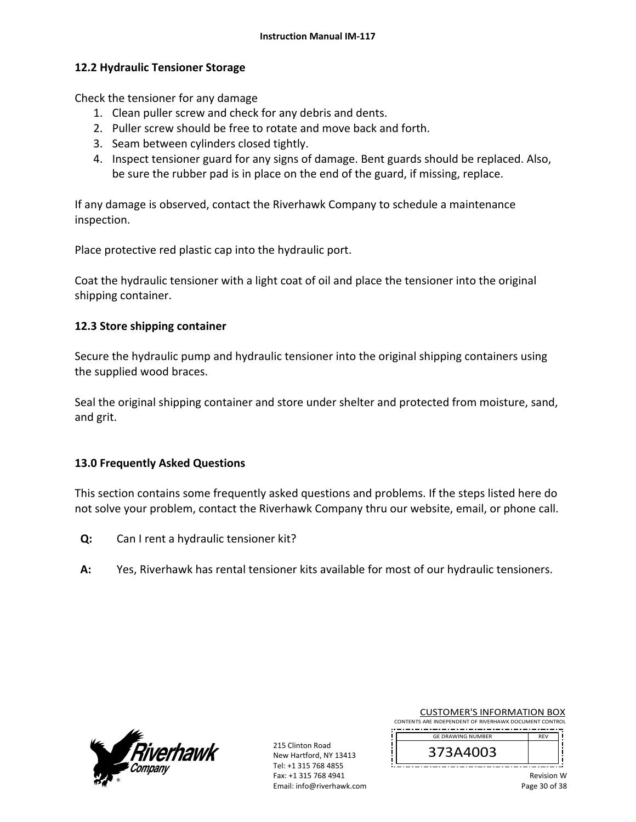#### **12.2 Hydraulic Tensioner Storage**

Check the tensioner for any damage

- 1. Clean puller screw and check for any debris and dents.
- 2. Puller screw should be free to rotate and move back and forth.
- 3. Seam between cylinders closed tightly.
- 4. Inspect tensioner guard for any signs of damage. Bent guards should be replaced. Also, be sure the rubber pad is in place on the end of the guard, if missing, replace.

If any damage is observed, contact the Riverhawk Company to schedule a maintenance inspection.

Place protective red plastic cap into the hydraulic port.

Coat the hydraulic tensioner with a light coat of oil and place the tensioner into the original shipping container.

#### **12.3 Store shipping container**

Secure the hydraulic pump and hydraulic tensioner into the original shipping containers using the supplied wood braces.

Seal the original shipping container and store under shelter and protected from moisture, sand, and grit.

### **13.0 Frequently Asked Questions**

This section contains some frequently asked questions and problems. If the steps listed here do not solve your problem, contact the Riverhawk Company thru our website, email, or phone call.

- **Q:**  Can I rent a hydraulic tensioner kit?
- **A:**  Yes, Riverhawk has rental tensioner kits available for most of our hydraulic tensioners.



215 Clinton Road New Hartford, NY 13413 Tel: +1 315 768 4855 Fax: +1 315 768 4941 Email: info@riverhawk.com CUSTOMER'S INFORMATION BOX

CONTENTS ARE INDEPENDENT OF RIVERHAWK DOCUMENT CONTROL 

> 373A4003

GE DRAWING NUMBER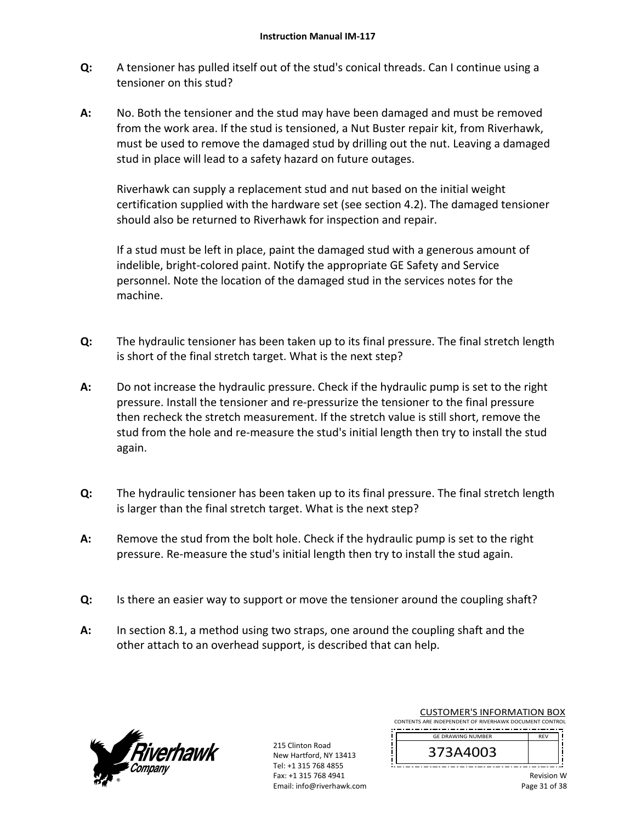- **Q:**  A tensioner has pulled itself out of the stud's conical threads. Can I continue using a tensioner on this stud?
- **A:**  No. Both the tensioner and the stud may have been damaged and must be removed from the work area. If the stud is tensioned, a Nut Buster repair kit, from Riverhawk, must be used to remove the damaged stud by drilling out the nut. Leaving a damaged stud in place will lead to a safety hazard on future outages.

Riverhawk can supply a replacement stud and nut based on the initial weight certification supplied with the hardware set (see section 4.2). The damaged tensioner should also be returned to Riverhawk for inspection and repair.

If a stud must be left in place, paint the damaged stud with a generous amount of indelible, bright‐colored paint. Notify the appropriate GE Safety and Service personnel. Note the location of the damaged stud in the services notes for the machine.

- **Q:**  The hydraulic tensioner has been taken up to its final pressure. The final stretch length is short of the final stretch target. What is the next step?
- **A:**  Do not increase the hydraulic pressure. Check if the hydraulic pump is set to the right pressure. Install the tensioner and re‐pressurize the tensioner to the final pressure then recheck the stretch measurement. If the stretch value is still short, remove the stud from the hole and re-measure the stud's initial length then try to install the stud again.
- **Q:**  The hydraulic tensioner has been taken up to its final pressure. The final stretch length is larger than the final stretch target. What is the next step?
- **A:**  Remove the stud from the bolt hole. Check if the hydraulic pump is set to the right pressure. Re‐measure the stud's initial length then try to install the stud again.
- **Q:**  Is there an easier way to support or move the tensioner around the coupling shaft?
- **A:**  In section 8.1, a method using two straps, one around the coupling shaft and the other attach to an overhead support, is described that can help.



215 Clinton Road New Hartford, NY 13413 Tel: +1 315 768 4855 Fax: +1 315 768 4941 Email: info@riverhawk.com

CUSTOMER'S INFORMATION BOX CONTENTS ARE INDEPENDENT OF RIVERHAWK DOCUMENT CONTROL

 REV GE DRAWING NUMBER

373A4003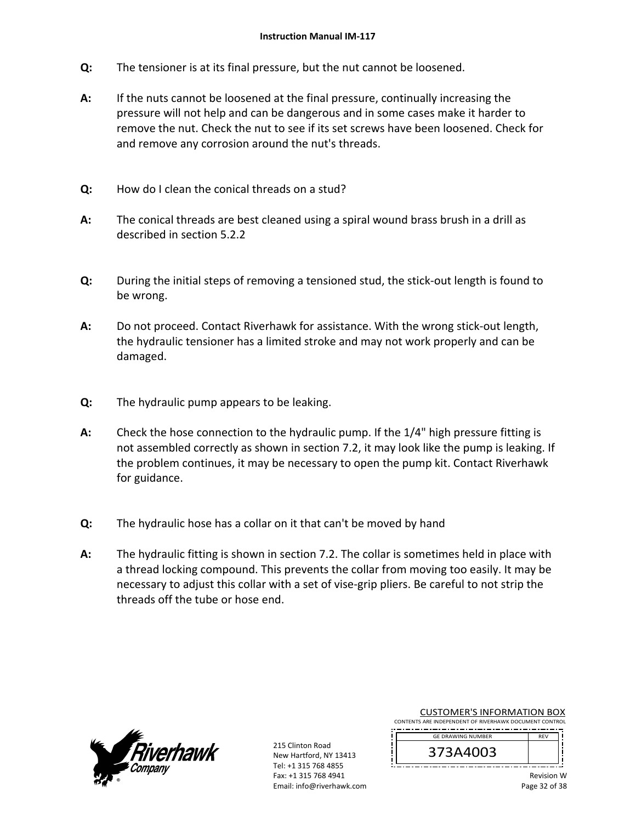- **Q:**  The tensioner is at its final pressure, but the nut cannot be loosened.
- **A:**  If the nuts cannot be loosened at the final pressure, continually increasing the pressure will not help and can be dangerous and in some cases make it harder to remove the nut. Check the nut to see if its set screws have been loosened. Check for and remove any corrosion around the nut's threads.
- **Q:**  How do I clean the conical threads on a stud?
- **A:**  The conical threads are best cleaned using a spiral wound brass brush in a drill as described in section 5.2.2
- **Q:**  During the initial steps of removing a tensioned stud, the stick‐out length is found to be wrong.
- **A:**  Do not proceed. Contact Riverhawk for assistance. With the wrong stick-out length, the hydraulic tensioner has a limited stroke and may not work properly and can be damaged.
- **Q:**  The hydraulic pump appears to be leaking.
- **A:**  Check the hose connection to the hydraulic pump. If the 1/4" high pressure fitting is not assembled correctly as shown in section 7.2, it may look like the pump is leaking. If the problem continues, it may be necessary to open the pump kit. Contact Riverhawk for guidance.
- **Q:**  The hydraulic hose has a collar on it that can't be moved by hand
- **A:**  The hydraulic fitting is shown in section 7.2. The collar is sometimes held in place with a thread locking compound. This prevents the collar from moving too easily. It may be necessary to adjust this collar with a set of vise‐grip pliers. Be careful to not strip the threads off the tube or hose end.



215 Clinton Road New Hartford, NY 13413 Tel: +1 315 768 4855 Fax: +1 315 768 4941 Email: info@riverhawk.com CUSTOMER'S INFORMATION BOX

CONTENTS ARE INDEPENDENT OF RIVERHAWK DOCUMENT CONTROL DE<sub>V</sub> GE DRAWING NUMBER

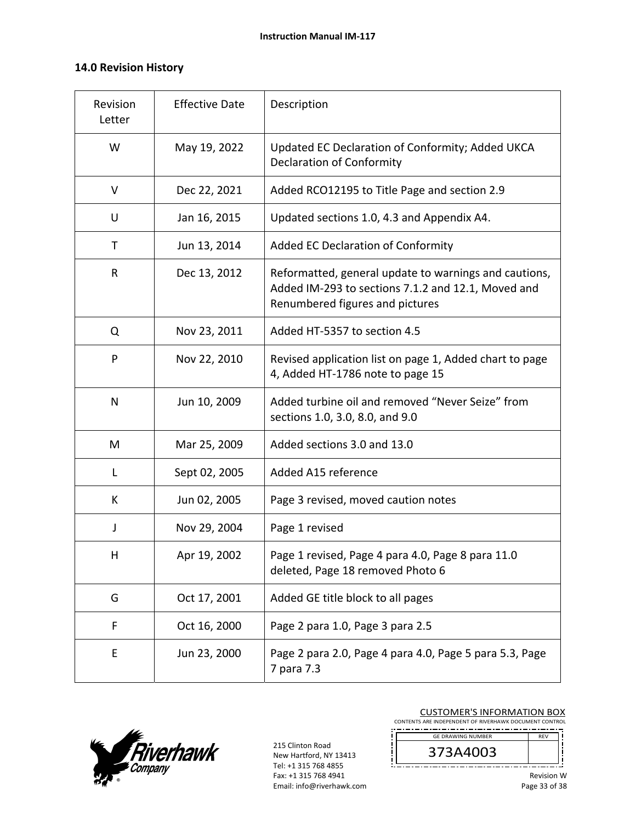### **14.0 Revision History**

| Revision<br>Letter | <b>Effective Date</b> | Description                                                                                                                                    |
|--------------------|-----------------------|------------------------------------------------------------------------------------------------------------------------------------------------|
| W                  | May 19, 2022          | Updated EC Declaration of Conformity; Added UKCA<br><b>Declaration of Conformity</b>                                                           |
| V                  | Dec 22, 2021          | Added RCO12195 to Title Page and section 2.9                                                                                                   |
| U                  | Jan 16, 2015          | Updated sections 1.0, 4.3 and Appendix A4.                                                                                                     |
| Τ                  | Jun 13, 2014          | Added EC Declaration of Conformity                                                                                                             |
| R                  | Dec 13, 2012          | Reformatted, general update to warnings and cautions,<br>Added IM-293 to sections 7.1.2 and 12.1, Moved and<br>Renumbered figures and pictures |
| Q                  | Nov 23, 2011          | Added HT-5357 to section 4.5                                                                                                                   |
| P                  | Nov 22, 2010          | Revised application list on page 1, Added chart to page<br>4, Added HT-1786 note to page 15                                                    |
| N                  | Jun 10, 2009          | Added turbine oil and removed "Never Seize" from<br>sections 1.0, 3.0, 8.0, and 9.0                                                            |
| M                  | Mar 25, 2009          | Added sections 3.0 and 13.0                                                                                                                    |
| Г                  | Sept 02, 2005         | Added A15 reference                                                                                                                            |
| K                  | Jun 02, 2005          | Page 3 revised, moved caution notes                                                                                                            |
| J                  | Nov 29, 2004          | Page 1 revised                                                                                                                                 |
| Н                  | Apr 19, 2002          | Page 1 revised, Page 4 para 4.0, Page 8 para 11.0<br>deleted, Page 18 removed Photo 6                                                          |
| G                  | Oct 17, 2001          | Added GE title block to all pages                                                                                                              |
| F                  | Oct 16, 2000          | Page 2 para 1.0, Page 3 para 2.5                                                                                                               |
| E                  | Jun 23, 2000          | Page 2 para 2.0, Page 4 para 4.0, Page 5 para 5.3, Page<br>7 para 7.3                                                                          |



215 Clinton Road New Hartford, NY 13413 Tel: +1 315 768 4855 Fax: +1 315 768 4941 Email: info@riverhawk.com CUSTOMER'S INFORMATION BOX

CONTENTS ARE INDEPENDENT OF RIVERHAWK DOCUMENT CONTROL GE DRAWING NUMBER

373A4003 

j

j

REV

j

ļ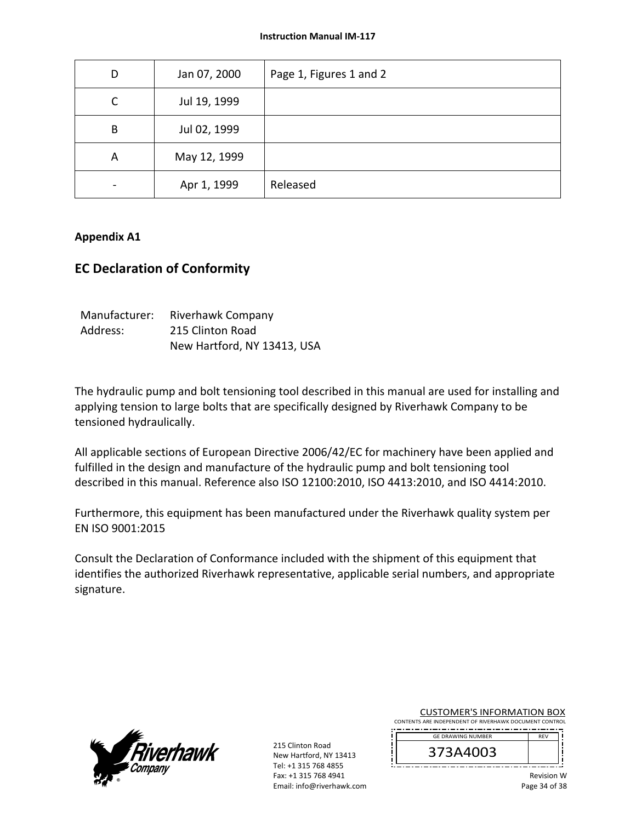| D                        | Jan 07, 2000 | Page 1, Figures 1 and 2 |
|--------------------------|--------------|-------------------------|
| C                        | Jul 19, 1999 |                         |
| B                        | Jul 02, 1999 |                         |
| A                        | May 12, 1999 |                         |
| $\overline{\phantom{a}}$ | Apr 1, 1999  | Released                |

#### **Appendix A1**

### **EC Declaration of Conformity**

| Manufacturer: | Riverhawk Company           |
|---------------|-----------------------------|
| Address:      | 215 Clinton Road            |
|               | New Hartford, NY 13413, USA |

The hydraulic pump and bolt tensioning tool described in this manual are used for installing and applying tension to large bolts that are specifically designed by Riverhawk Company to be tensioned hydraulically.

All applicable sections of European Directive 2006/42/EC for machinery have been applied and fulfilled in the design and manufacture of the hydraulic pump and bolt tensioning tool described in this manual. Reference also ISO 12100:2010, ISO 4413:2010, and ISO 4414:2010.

Furthermore, this equipment has been manufactured under the Riverhawk quality system per EN ISO 9001:2015

Consult the Declaration of Conformance included with the shipment of this equipment that identifies the authorized Riverhawk representative, applicable serial numbers, and appropriate signature.



215 Clinton Road New Hartford, NY 13413 Tel: +1 315 768 4855 Fax: +1 315 768 4941 Email: info@riverhawk.com CUSTOMER'S INFORMATION BOX

CONTENTS ARE INDEPENDENT OF RIVERHAWK DOCUMENT CONTROL DE<sub>V</sub> GE DRAWING NUMBER

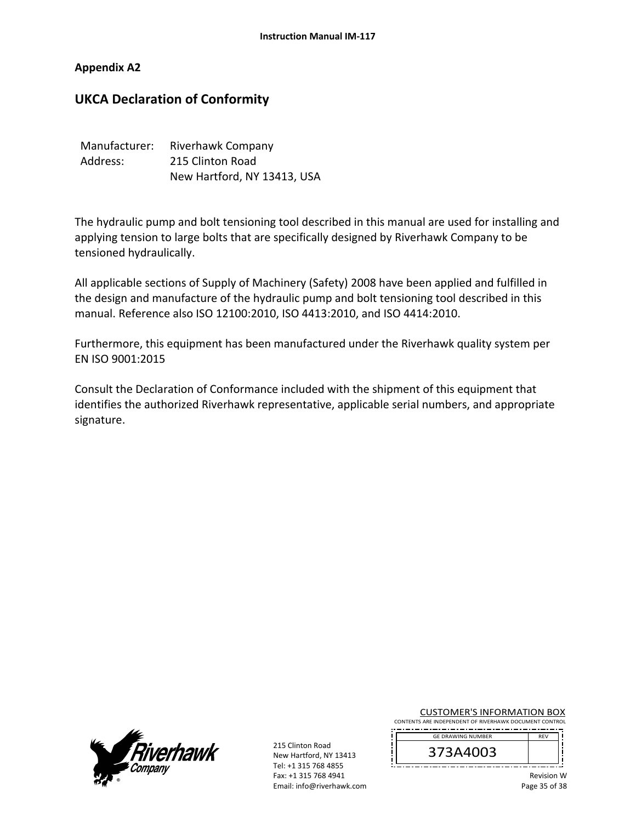### **Appendix A2**

# **UKCA Declaration of Conformity**

| Manufacturer: | Riverhawk Company           |  |
|---------------|-----------------------------|--|
| Address:      | 215 Clinton Road            |  |
|               | New Hartford, NY 13413, USA |  |

The hydraulic pump and bolt tensioning tool described in this manual are used for installing and applying tension to large bolts that are specifically designed by Riverhawk Company to be tensioned hydraulically.

All applicable sections of Supply of Machinery (Safety) 2008 have been applied and fulfilled in the design and manufacture of the hydraulic pump and bolt tensioning tool described in this manual. Reference also ISO 12100:2010, ISO 4413:2010, and ISO 4414:2010.

Furthermore, this equipment has been manufactured under the Riverhawk quality system per EN ISO 9001:2015

Consult the Declaration of Conformance included with the shipment of this equipment that identifies the authorized Riverhawk representative, applicable serial numbers, and appropriate signature.



215 Clinton Road New Hartford, NY 13413 Tel: +1 315 768 4855 Fax: +1 315 768 4941 Email: info@riverhawk.com CUSTOMER'S INFORMATION BOX

CONTENTS ARE INDEPENDENT OF RIVERHAWK DOCUMENT CONTROL GE DRAWING NUMBER

373A4003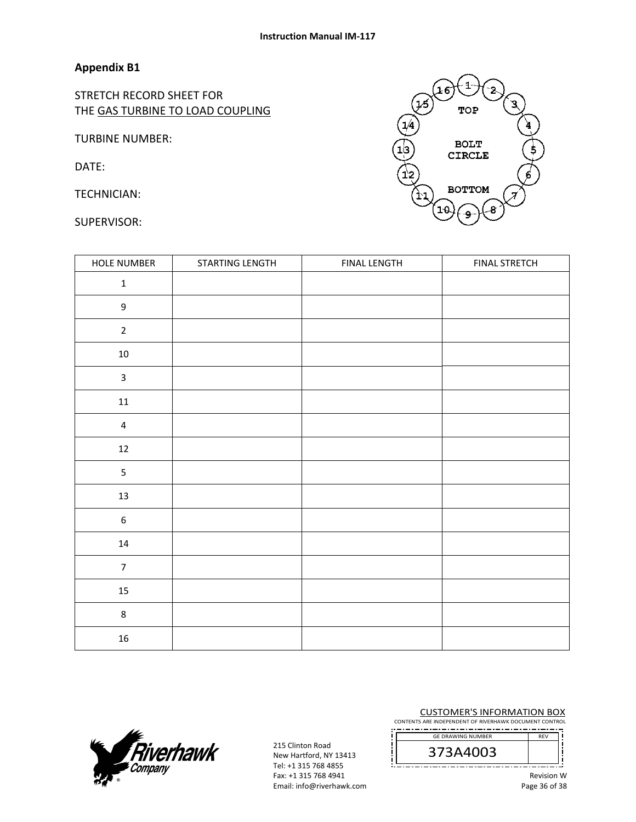### **Appendix B1**

STRETCH RECORD SHEET FOR THE GAS TURBINE TO LOAD COUPLING

TURBINE NUMBER:

DATE:

TECHNICIAN:

SUPERVISOR:

| HOLE NUMBER             | STARTING LENGTH | <b>FINAL LENGTH</b> | <b>FINAL STRETCH</b> |
|-------------------------|-----------------|---------------------|----------------------|
| $\mathbf 1$             |                 |                     |                      |
| $\mathsf g$             |                 |                     |                      |
| $\overline{2}$          |                 |                     |                      |
| $10\,$                  |                 |                     |                      |
| $\overline{\mathbf{3}}$ |                 |                     |                      |
| $11\,$                  |                 |                     |                      |
| $\pmb{4}$               |                 |                     |                      |
| 12                      |                 |                     |                      |
| 5                       |                 |                     |                      |
| 13                      |                 |                     |                      |
| $\boldsymbol{6}$        |                 |                     |                      |
| $14\,$                  |                 |                     |                      |
| $\overline{7}$          |                 |                     |                      |
| 15                      |                 |                     |                      |
| $\bf 8$                 |                 |                     |                      |
| 16                      |                 |                     |                      |



215 Clinton Road New Hartford, NY 13413 Tel: +1 315 768 4855 Fax: +1 315 768 4941 Email: info@riverhawk.com CUSTOMER'S INFORMATION BOX

CONTENTS ARE INDEPENDENT OF RIVERHAWK DOCUMENT CONTROL GE DRAWING NUMBER

373A4003 

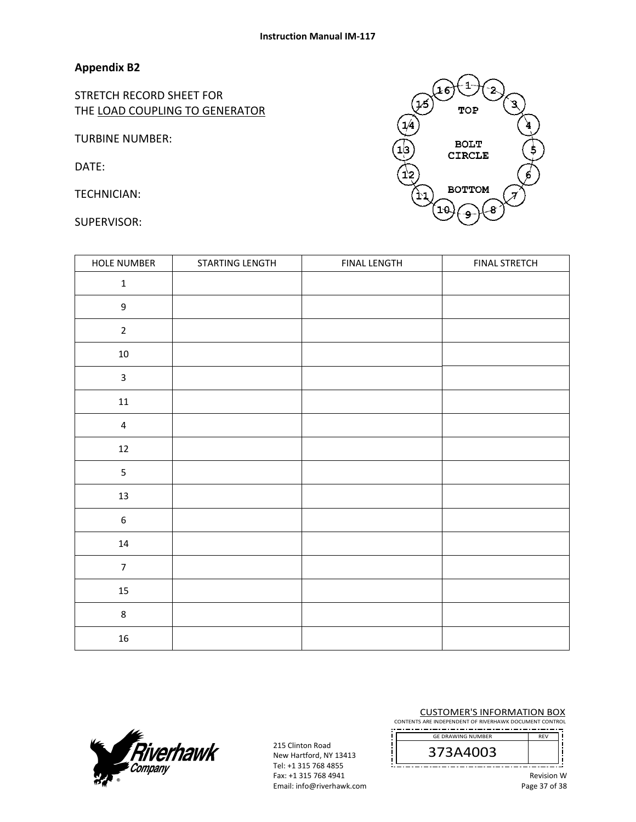### **Appendix B2**

STRETCH RECORD SHEET FOR THE LOAD COUPLING TO GENERATOR

TURBINE NUMBER:

DATE:

TECHNICIAN:

SUPERVISOR:

| HOLE NUMBER             | STARTING LENGTH | <b>FINAL LENGTH</b> | <b>FINAL STRETCH</b> |
|-------------------------|-----------------|---------------------|----------------------|
| $\mathbf 1$             |                 |                     |                      |
| $\boldsymbol{9}$        |                 |                     |                      |
| $\sqrt{2}$              |                 |                     |                      |
| $10\,$                  |                 |                     |                      |
| $\mathsf{3}$            |                 |                     |                      |
| $11\,$                  |                 |                     |                      |
| $\overline{\mathbf{4}}$ |                 |                     |                      |
| 12                      |                 |                     |                      |
| 5                       |                 |                     |                      |
| 13                      |                 |                     |                      |
| $\boldsymbol{6}$        |                 |                     |                      |
| 14                      |                 |                     |                      |
| $\overline{7}$          |                 |                     |                      |
| $15\,$                  |                 |                     |                      |
| $\,$ 8 $\,$             |                 |                     |                      |
| $16\,$                  |                 |                     |                      |



215 Clinton Road New Hartford, NY 13413 Tel: +1 315 768 4855 Fax: +1 315 768 4941 Email: info@riverhawk.com CUSTOMER'S INFORMATION BOX

CONTENTS ARE INDEPENDENT OF RIVERHAWK DOCUMENT CONTROL GE DRAWING NUMBER

373A4003